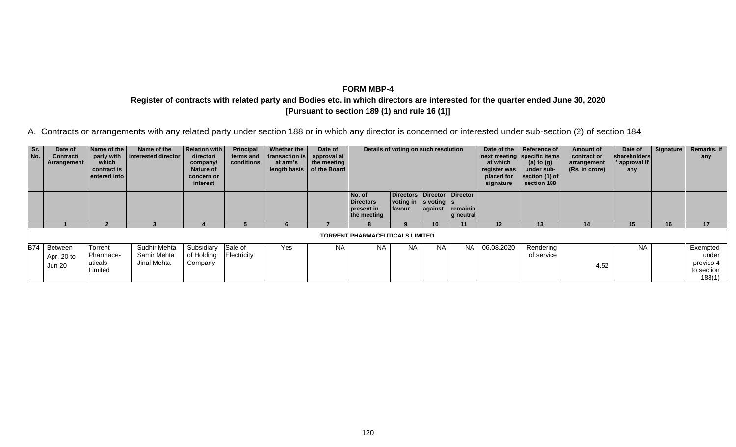**Register of contracts with related party and Bodies etc. in which directors are interested for the quarter ended June 30, 2020 [Pursuant to section 189 (1) and rule 16 (1)]**

| Sr.<br>No. | Date of<br>Contract/<br>Arrangement   | Name of the<br>party with<br>which<br>contract is<br>entered into | Name of the<br>interested director         | Relation with<br>director/<br>company/<br><b>Nature of</b><br>concern or<br>interest | Principal<br>terms and<br>conditions | Whether the<br>transaction is<br>at arm's<br>length basis | Date of<br>approval at<br>the meeting<br>of the Board | Details of voting on such resolution                    |                                                                          | Date of the<br>at which<br>register was<br>placed for<br>signature | Reference of<br>next meeting specific items<br>(a) to $(g)$<br>under sub-<br>section (1) of<br>section 188 | <b>Amount of</b><br>contract or<br>arrangement<br>(Rs. in crore) | Date of<br>shareholders<br>approval if<br>any | Signature | Remarks, if<br>any |    |                                                        |
|------------|---------------------------------------|-------------------------------------------------------------------|--------------------------------------------|--------------------------------------------------------------------------------------|--------------------------------------|-----------------------------------------------------------|-------------------------------------------------------|---------------------------------------------------------|--------------------------------------------------------------------------|--------------------------------------------------------------------|------------------------------------------------------------------------------------------------------------|------------------------------------------------------------------|-----------------------------------------------|-----------|--------------------|----|--------------------------------------------------------|
|            |                                       |                                                                   |                                            |                                                                                      |                                      |                                                           |                                                       | No. of<br><b>Directors</b><br>present in<br>the meeting | Directors Director Director<br>$voling$ in $ s$ voting $ s $<br>  favour | against                                                            | remainin<br>g neutral                                                                                      |                                                                  |                                               |           |                    |    |                                                        |
|            |                                       |                                                                   |                                            |                                                                                      |                                      |                                                           |                                                       |                                                         |                                                                          |                                                                    | 11                                                                                                         | 12                                                               | 13                                            | 14        | 15.                | 16 | 17                                                     |
|            |                                       |                                                                   |                                            |                                                                                      |                                      |                                                           |                                                       | <b>TORRENT PHARMACEUTICALS LIMITED</b>                  |                                                                          |                                                                    |                                                                                                            |                                                                  |                                               |           |                    |    |                                                        |
|            | B74   Between<br>Apr, 20 to<br>Jun 20 | Torrent<br><b>Pharmace-</b><br>uticals<br>imited                  | Sudhir Mehta<br>Samir Mehta<br>Jinal Mehta | Subsidiary<br>of Holding<br>Company                                                  | Sale of<br>Electricity               | Yes                                                       | <b>NA</b>                                             | <b>NA</b>                                               | <b>NA</b>                                                                | <b>NA</b>                                                          | <b>NA</b>                                                                                                  | 06.08.2020                                                       | Rendering<br>of service                       | 4.52      | <b>NA</b>          |    | Exempted<br>under<br>proviso 4<br>to section<br>188(1) |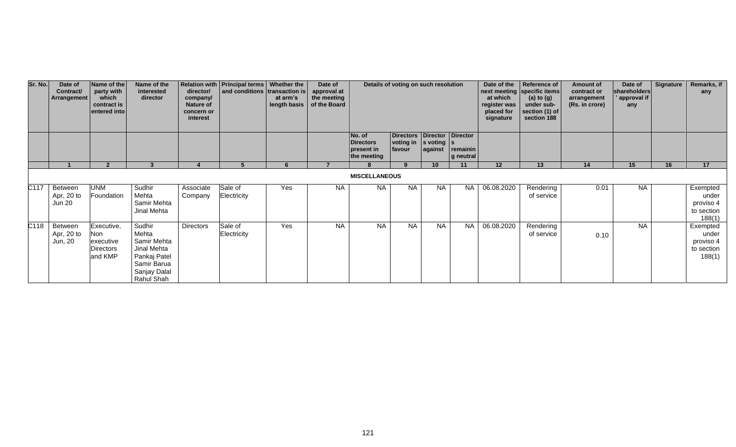| Sr. No. | Date of<br>Contract/<br>Arrangement    | Name of the<br>party with<br>which<br>contract is<br>entered into    | Name of the<br>interested<br>director                                                                      | director/<br>company/<br>Nature of<br>concern or<br>interest | Relation with   Principal terms   Whether the<br>and conditions transaction is | at arm's | Date of<br>approval at<br>the meeting<br>length basis $\vert$ of the Board | Details of voting on such resolution                    |                                                                                           |                 | Date of the<br>at which<br>register was<br>placed for<br>signature | Reference of<br>next meeting specific items<br>(a) to $(g)$<br>under sub-<br>section (1) of<br>section 188 | <b>Amount of</b><br>contract or<br>arrangement<br>(Rs. in crore) | Date of<br>shareholders<br>approval if<br>any | Signature | Remarks, if<br>any |                                                        |
|---------|----------------------------------------|----------------------------------------------------------------------|------------------------------------------------------------------------------------------------------------|--------------------------------------------------------------|--------------------------------------------------------------------------------|----------|----------------------------------------------------------------------------|---------------------------------------------------------|-------------------------------------------------------------------------------------------|-----------------|--------------------------------------------------------------------|------------------------------------------------------------------------------------------------------------|------------------------------------------------------------------|-----------------------------------------------|-----------|--------------------|--------------------------------------------------------|
|         |                                        |                                                                      |                                                                                                            |                                                              |                                                                                |          |                                                                            | No. of<br><b>Directors</b><br>present in<br>the meeting | Directors   Director   Director<br>$\vert$ voting in $\vert$ s voting $\vert$ s<br>favour | against         | remainin<br>g neutral                                              |                                                                                                            |                                                                  |                                               |           |                    |                                                        |
|         |                                        |                                                                      |                                                                                                            |                                                              |                                                                                |          |                                                                            |                                                         | $\alpha$                                                                                  | 10 <sup>1</sup> | 11                                                                 | 12 <sup>2</sup>                                                                                            | 13                                                               | 14                                            | 15        | 16                 | 17                                                     |
|         |                                        |                                                                      |                                                                                                            |                                                              |                                                                                |          |                                                                            | <b>MISCELLANEOUS</b>                                    |                                                                                           |                 |                                                                    |                                                                                                            |                                                                  |                                               |           |                    |                                                        |
| C117    | Between<br>Apr, 20 to<br><b>Jun 20</b> | <b>UNM</b><br>Foundation                                             | Sudhir<br>Mehta<br>Samir Mehta<br>Jinal Mehta                                                              | Associate<br>Company                                         | Sale of<br>Electricity                                                         | Yes      | <b>NA</b>                                                                  | <b>NA</b>                                               | <b>NA</b>                                                                                 | <b>NA</b>       | <b>NA</b>                                                          | 06.08.2020                                                                                                 | Rendering<br>of service                                          | 0.01                                          | <b>NA</b> |                    | Exempted<br>under<br>proviso 4<br>to section<br>188(1) |
| C118    | Between<br>Apr, 20 to<br>Jun, 20       | Executive,<br><b>Non</b><br>executive<br><b>Directors</b><br>and KMP | Sudhir<br>Mehta<br>Samir Mehta<br>Jinal Mehta<br>Pankaj Patel<br>Samir Barua<br>Sanjay Dalal<br>Rahul Shah | Directors                                                    | Sale of<br>Electricity                                                         | Yes      | <b>NA</b>                                                                  | <b>NA</b>                                               | <b>NA</b>                                                                                 | <b>NA</b>       | <b>NA</b>                                                          | 06.08.2020                                                                                                 | Rendering<br>of service                                          | 0.10                                          | <b>NA</b> |                    | Exempted<br>under<br>proviso 4<br>to section<br>188(1) |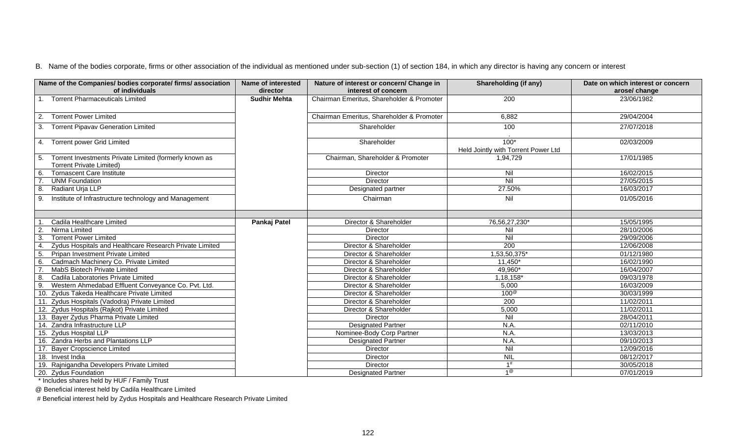| Name of the Companies/ bodies corporate/ firms/ association<br>of individuals | <b>Name of interested</b><br>director | Nature of interest or concern/ Change in<br>interest of concern | Shareholding (if any)               | Date on which interest or concern<br>arose/ change |
|-------------------------------------------------------------------------------|---------------------------------------|-----------------------------------------------------------------|-------------------------------------|----------------------------------------------------|
| 1. Torrent Pharmaceuticals Limited                                            | <b>Sudhir Mehta</b>                   | Chairman Emeritus, Shareholder & Promoter                       | 200                                 | 23/06/1982                                         |
|                                                                               |                                       |                                                                 |                                     |                                                    |
| <b>Torrent Power Limited</b><br>2.                                            |                                       | Chairman Emeritus, Shareholder & Promoter                       | 6,882                               | 29/04/2004                                         |
| 3. Torrent Pipavav Generation Limited                                         |                                       | Shareholder                                                     | 100                                 | 27/07/2018                                         |
|                                                                               |                                       |                                                                 |                                     |                                                    |
| 4. Torrent power Grid Limited                                                 |                                       | Shareholder                                                     | $100*$                              | 02/03/2009                                         |
|                                                                               |                                       |                                                                 | Held Jointly with Torrent Power Ltd |                                                    |
| Torrent Investments Private Limited (formerly known as<br>5.                  |                                       | Chairman, Shareholder & Promoter                                | 1,94,729                            | 17/01/1985                                         |
| <b>Torrent Private Limited)</b>                                               |                                       |                                                                 |                                     |                                                    |
| <b>Tornascent Care Institute</b><br>6.                                        |                                       | Director                                                        | Nil                                 | 16/02/2015                                         |
| <b>UNM Foundation</b>                                                         |                                       | Director                                                        | Nil                                 | 27/05/2015                                         |
| Radiant Urja LLP<br>8.                                                        |                                       | Designated partner                                              | 27.50%                              | 16/03/2017                                         |
| Institute of Infrastructure technology and Management<br>9.                   |                                       | Chairman                                                        | Nil                                 | 01/05/2016                                         |
|                                                                               |                                       |                                                                 |                                     |                                                    |
|                                                                               |                                       |                                                                 |                                     |                                                    |
| Cadila Healthcare Limited                                                     | Pankaj Patel                          | Director & Shareholder                                          | 76,56,27,230*                       | 15/05/1995                                         |
| Nirma Limited<br>$\overline{2}$                                               |                                       | Director                                                        | Nil                                 | 28/10/2006                                         |
| <b>Torrent Power Limited</b>                                                  |                                       | Director                                                        | Nil                                 | 29/09/2006                                         |
| Zydus Hospitals and Healthcare Research Private Limited                       |                                       | Director & Shareholder                                          | $\overline{200}$                    | 12/06/2008                                         |
| -5.<br>Pripan Investment Private Limited                                      |                                       | Director & Shareholder                                          | 1,53,50,375*                        | 01/12/1980                                         |
| Cadmach Machinery Co. Private Limited<br>6.                                   |                                       | Director & Shareholder                                          | $11,450*$                           | 16/02/1990                                         |
| MabS Biotech Private Limited                                                  |                                       | Director & Shareholder                                          | 49,960*                             | 16/04/2007                                         |
| Cadila Laboratories Private Limited                                           |                                       | Director & Shareholder                                          | 1,18,158*                           | 09/03/1978                                         |
| Western Ahmedabad Effluent Conveyance Co. Pvt. Ltd.<br>9.                     |                                       | Director & Shareholder                                          | 5,000                               | 16/03/2009                                         |
| 10. Zydus Takeda Healthcare Private Limited                                   |                                       | Director & Shareholder                                          | $100^\circ$                         | 30/03/1999                                         |
| 11. Zydus Hospitals (Vadodra) Private Limited                                 |                                       | Director & Shareholder                                          | 200                                 | 11/02/2011                                         |
| 12. Zydus Hospitals (Rajkot) Private Limited                                  |                                       | Director & Shareholder                                          | 5,000                               | 11/02/2011                                         |
| 13. Bayer Zydus Pharma Private Limited                                        |                                       | Director                                                        | Nil                                 | 28/04/2011                                         |
| 14. Zandra Infrastructure LLP                                                 |                                       | <b>Designated Partner</b>                                       | N.A.                                | 02/11/2010                                         |
| 15. Zydus Hospital LLP                                                        |                                       | Nominee-Body Corp Partner                                       | N.A.                                | 13/03/2013                                         |
| 16. Zandra Herbs and Plantations LLP                                          |                                       | <b>Designated Partner</b>                                       | N.A.                                | 09/10/2013                                         |
| 17. Bayer Cropscience Limited                                                 |                                       | Director                                                        | Nil                                 | 12/09/2016                                         |
| 18. Invest India                                                              |                                       | Director                                                        | <b>NIL</b>                          | 08/12/2017                                         |
| 19. Rajnigandha Developers Private Limited                                    |                                       | Director                                                        | 1#                                  | 30/05/2018                                         |
| 20. Zydus Foundation                                                          |                                       | <b>Designated Partner</b>                                       | $1^\circledR$                       | 07/01/2019                                         |

\* Includes shares held by HUF / Family Trust

@ Beneficial interest held by Cadila Healthcare Limited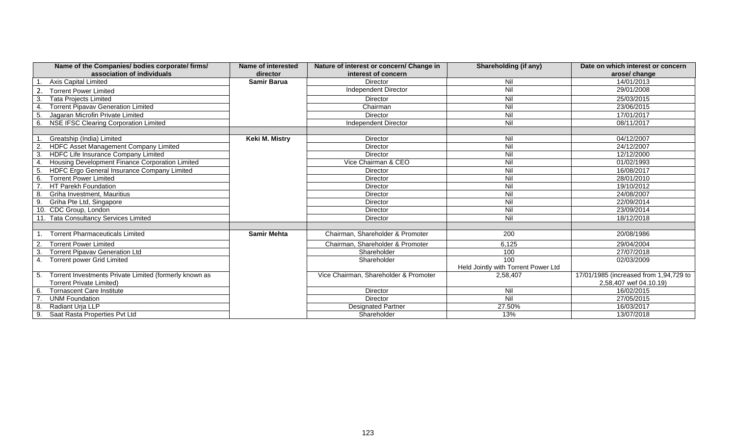| Name of the Companies/ bodies corporate/ firms/               | Name of interested | Nature of interest or concern/ Change in | Shareholding (if any)               | Date on which interest or concern      |
|---------------------------------------------------------------|--------------------|------------------------------------------|-------------------------------------|----------------------------------------|
| association of individuals                                    | director           | interest of concern                      |                                     | arose/ change                          |
| <b>Axis Capital Limited</b>                                   | <b>Samir Barua</b> | <b>Director</b>                          | Nil                                 | 14/01/2013                             |
| <b>Torrent Power Limited</b>                                  |                    | Independent Director                     | Nil                                 | 29/01/2008                             |
| <b>Tata Projects Limited</b><br>3.                            |                    | Director                                 | Nil                                 | 25/03/2015                             |
| <b>Torrent Pipavav Generation Limited</b>                     |                    | Chairman                                 | Nil                                 | 23/06/2015                             |
| Jagaran Microfin Private Limited<br>-5                        |                    | Director                                 | Nil                                 | 17/01/2017                             |
| 6.<br><b>NSE IFSC Clearing Corporation Limited</b>            |                    | <b>Independent Director</b>              | $\overline{N}$                      | 08/11/2017                             |
|                                                               |                    |                                          |                                     |                                        |
| Greatship (India) Limited                                     | Keki M. Mistry     | Director                                 | Nil                                 | 04/12/2007                             |
| HDFC Asset Management Company Limited                         |                    | <b>Director</b>                          | Nil                                 | 24/12/2007                             |
| HDFC Life Insurance Company Limited<br>3.                     |                    | Director                                 | Nil                                 | 12/12/2000                             |
| Housing Development Finance Corporation Limited<br>-4         |                    | Vice Chairman & CEO                      | Nil                                 | 01/02/1993                             |
| HDFC Ergo General Insurance Company Limited<br>5 <sub>1</sub> |                    | Director                                 | $\overline{N}$                      | 16/08/2017                             |
| <b>Torrent Power Limited</b><br>6.                            |                    | Director                                 | Nil                                 | 28/01/2010                             |
| HT Parekh Foundation                                          |                    | Director                                 | Nil                                 | 19/10/2012                             |
| Griha Investment, Mauritius<br>8.                             |                    | Director                                 | Nil                                 | 24/08/2007                             |
| Griha Pte Ltd, Singapore<br>9.                                |                    | Director                                 | $\overline{N}$                      | 22/09/2014                             |
| 10. CDC Group, London                                         |                    | Director                                 | Nil                                 | 23/09/2014                             |
| 11. Tata Consultancy Services Limited                         |                    | Director                                 | Nil                                 | 18/12/2018                             |
|                                                               |                    |                                          |                                     |                                        |
| <b>Torrent Pharmaceuticals Limited</b>                        | <b>Samir Mehta</b> | Chairman, Shareholder & Promoter         | 200                                 | 20/08/1986                             |
| <b>Torrent Power Limited</b>                                  |                    | Chairman, Shareholder & Promoter         | 6,125                               | 29/04/2004                             |
| <b>Torrent Pipavav Generation Ltd</b><br>3.                   |                    | Shareholder                              | 100                                 | 27/07/2018                             |
| <b>Torrent power Grid Limited</b>                             |                    | Shareholder                              | 100                                 | 02/03/2009                             |
|                                                               |                    |                                          | Held Jointly with Torrent Power Ltd |                                        |
| Torrent Investments Private Limited (formerly known as        |                    | Vice Chairman, Shareholder & Promoter    | 2,58,407                            | 17/01/1985 (increased from 1,94,729 to |
| <b>Torrent Private Limited)</b>                               |                    |                                          |                                     | 2,58,407 wef 04.10.19)                 |
| <b>Tornascent Care Institute</b><br>6.                        |                    | Director                                 | Nil                                 | 16/02/2015                             |
| <b>UNM Foundation</b>                                         |                    | Director                                 | Nil                                 | 27/05/2015                             |
| Radiant Urja LLP<br>-8.                                       |                    | <b>Designated Partner</b>                | 27.50%                              | 16/03/2017                             |
| 9.<br>Saat Rasta Properties Pvt Ltd                           |                    | Shareholder                              | 13%                                 | 13/07/2018                             |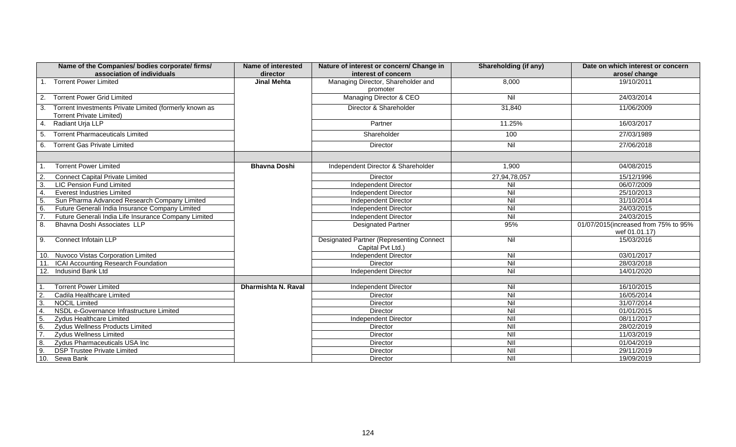| Name of the Companies/ bodies corporate/ firms/<br>association of individuals                   | <b>Name of interested</b><br>director | Nature of interest or concern/ Change in<br>interest of concern      | <b>Shareholding (if any)</b>                 | Date on which interest or concern<br>arose/ change |
|-------------------------------------------------------------------------------------------------|---------------------------------------|----------------------------------------------------------------------|----------------------------------------------|----------------------------------------------------|
| <b>Torrent Power Limited</b>                                                                    | <b>Jinal Mehta</b>                    | Managing Director, Shareholder and<br>promoter                       | 8,000                                        | 19/10/2011                                         |
| <b>Torrent Power Grid Limited</b><br>2.                                                         |                                       | Managing Director & CEO                                              | Nil                                          | 24/03/2014                                         |
| Torrent Investments Private Limited (formerly known as<br>3.<br><b>Torrent Private Limited)</b> |                                       | Director & Shareholder                                               | 31,840                                       | 11/06/2009                                         |
| Radiant Urja LLP<br>4.                                                                          |                                       | Partner                                                              | 11.25%                                       | 16/03/2017                                         |
| <b>Torrent Pharmaceuticals Limited</b><br>-5.                                                   |                                       | Shareholder                                                          | 100                                          | 27/03/1989                                         |
| <b>Torrent Gas Private Limited</b><br>6.                                                        |                                       | <b>Director</b>                                                      | Nil                                          | 27/06/2018                                         |
|                                                                                                 |                                       |                                                                      |                                              |                                                    |
| <b>Torrent Power Limited</b>                                                                    | <b>Bhavna Doshi</b>                   | Independent Director & Shareholder                                   | 1,900                                        | 04/08/2015                                         |
| <b>Connect Capital Private Limited</b><br>$\overline{2}$                                        |                                       | Director                                                             | 27,94,78,057                                 | 15/12/1996                                         |
| 3.<br><b>LIC Pension Fund Limited</b>                                                           |                                       | Independent Director                                                 | Nil                                          | 06/07/2009                                         |
| $\overline{4}$<br><b>Everest Industries Limited</b>                                             |                                       | <b>Independent Director</b>                                          | Nil                                          | 25/10/2013                                         |
| 5 <sub>o</sub><br>Sun Pharma Advanced Research Company Limited                                  |                                       | <b>Independent Director</b>                                          | Nil                                          | 31/10/2014                                         |
| 6.<br>Future Generali India Insurance Company Limited                                           |                                       | Independent Director                                                 | Nil                                          | 24/03/2015                                         |
| Future Generali India Life Insurance Company Limited                                            |                                       | Independent Director                                                 | Nil                                          | 24/03/2015                                         |
| 8.<br>Bhavna Doshi Associates LLP                                                               |                                       | <b>Designated Partner</b>                                            | 95%                                          | 01/07/2015(increased from 75% to 95%               |
|                                                                                                 |                                       |                                                                      |                                              | wef 01.01.17)                                      |
| Connect Infotain LLP<br>9.                                                                      |                                       | <b>Designated Partner (Representing Connect</b><br>Capital Pvt Ltd.) | Nil                                          | 15/03/2016                                         |
| 10. Nuvoco Vistas Corporation Limited                                                           |                                       | <b>Independent Director</b>                                          | Nil                                          | 03/01/2017                                         |
| ICAI Accounting Research Foundation                                                             |                                       | Director                                                             | Nil                                          | 28/03/2018                                         |
| 12.<br>Indusind Bank Ltd                                                                        |                                       | Independent Director                                                 | Nil                                          | 14/01/2020                                         |
|                                                                                                 |                                       |                                                                      |                                              |                                                    |
| <b>Torrent Power Limited</b>                                                                    | Dharmishta N. Raval                   | <b>Independent Director</b>                                          | Nil                                          | 16/10/2015                                         |
| $\overline{2}$<br>Cadila Healthcare Limited                                                     |                                       | Director                                                             | Nil                                          | 16/05/2014                                         |
| $\overline{3}$ .<br><b>NOCIL Limited</b>                                                        |                                       | <b>Director</b>                                                      | $\overline{N}$                               | 31/07/2014                                         |
| $\overline{4}$ .<br>NSDL e-Governance Infrastructure Limited                                    |                                       | <b>Director</b>                                                      | $\overline{N}$                               | 01/01/2015                                         |
| 5.<br><b>Zydus Healthcare Limited</b>                                                           |                                       | Independent Director                                                 | $\overline{\overline{\mathsf{N}}\mathsf{I}}$ | 08/11/2017                                         |
| 6.<br>Zydus Wellness Products Limited                                                           |                                       | <b>Director</b>                                                      | NII                                          | 28/02/2019                                         |
| $\overline{7}$ .<br><b>Zydus Wellness Limited</b>                                               |                                       | Director                                                             | $\overline{\overline{\mathsf{N}}}$           | 11/03/2019                                         |
| 8.<br>Zydus Pharmaceuticals USA Inc                                                             |                                       | Director                                                             | $\overline{\overline{\mathsf{N}}\mathsf{I}}$ | 01/04/2019                                         |
| $\overline{9}$<br><b>DSP Trustee Private Limited</b>                                            |                                       | Director                                                             | NII                                          | 29/11/2019                                         |
| 10.<br>Sewa Bank                                                                                |                                       | Director                                                             | $\overline{\overline{\mathsf{N}}\mathsf{I}}$ | 19/09/2019                                         |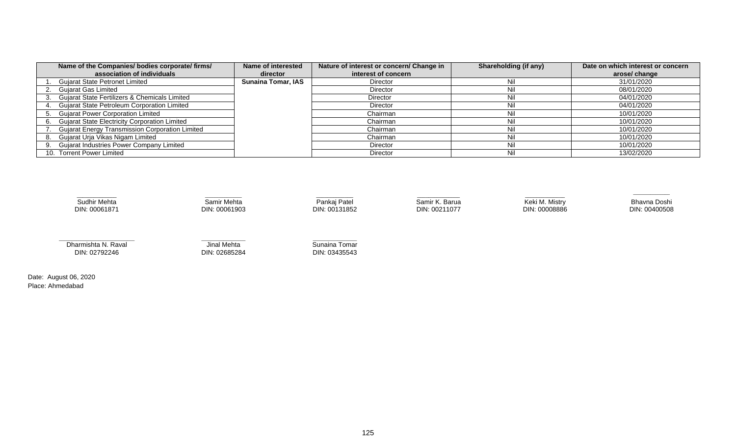| Name of the Companies/ bodies corporate/ firms/        | Name of interested        | Nature of interest or concern/ Change in | Shareholding (if any) | Date on which interest or concern |
|--------------------------------------------------------|---------------------------|------------------------------------------|-----------------------|-----------------------------------|
| association of individuals                             | director                  | interest of concern                      |                       | arose/ change                     |
| <b>Gujarat State Petronet Limited</b>                  | <b>Sunaina Tomar, IAS</b> | <b>Director</b>                          | Nil                   | 31/01/2020                        |
| <b>Gujarat Gas Limited</b>                             |                           | Director                                 | Nil                   | 08/01/2020                        |
| Gujarat State Fertilizers & Chemicals Limited          |                           | Director                                 | Nil                   | 04/01/2020                        |
| Gujarat State Petroleum Corporation Limited            |                           | <b>Director</b>                          | Nil                   | 04/01/2020                        |
| <b>Gujarat Power Corporation Limited</b>               |                           | Chairman                                 | Nil                   | 10/01/2020                        |
| Gujarat State Electricity Corporation Limited          |                           | Chairman                                 | Nil                   | 10/01/2020                        |
| <b>Gujarat Energy Transmission Corporation Limited</b> |                           | Chairman                                 | Nil                   | 10/01/2020                        |
| Gujarat Urja Vikas Nigam Limited                       |                           | Chairman                                 | Nil                   | 10/01/2020                        |
| <b>Gujarat Industries Power Company Limited</b>        |                           | Director                                 | Nil                   | 10/01/2020                        |
| 10. Torrent Power Limited                              |                           | <b>Director</b>                          | Nil                   | 13/02/2020                        |



Date: August 06, 2020 Place: Ahmedabad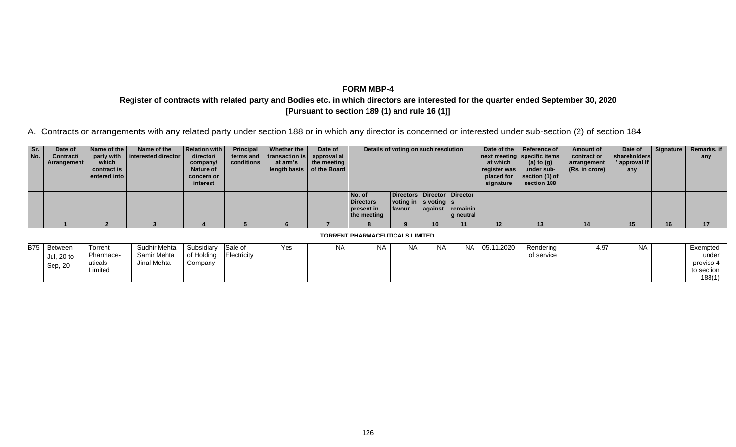**Register of contracts with related party and Bodies etc. in which directors are interested for the quarter ended September 30, 2020 [Pursuant to section 189 (1) and rule 16 (1)]**

| Sr.<br>No. | Date of<br>Contract/<br>Arrangement  | Name of the<br>party with<br>which<br>contract is<br>entered into | Name of the<br>interested director         | <b>Relation with</b><br>director/<br>company/<br><b>Nature of</b><br>concern or<br>interest | Principal<br>terms and<br>conditions | Whether the<br>transaction is<br>at arm's<br>length basis   of the Board | Date of<br>approval at<br>the meeting | Details of voting on such resolution                    |                                                                                            | Date of the<br>at which<br>register was<br>placed for<br>signature | Reference of<br>next meeting specific items<br>(a) to $(g)$<br>under sub-<br>section (1) of<br>section 188 | Amount of<br>contract or<br>arrangement<br>(Rs. in crore) | Date of<br>shareholders<br>approval if<br>any | Signature | Remarks, if<br>any |    |                                                        |
|------------|--------------------------------------|-------------------------------------------------------------------|--------------------------------------------|---------------------------------------------------------------------------------------------|--------------------------------------|--------------------------------------------------------------------------|---------------------------------------|---------------------------------------------------------|--------------------------------------------------------------------------------------------|--------------------------------------------------------------------|------------------------------------------------------------------------------------------------------------|-----------------------------------------------------------|-----------------------------------------------|-----------|--------------------|----|--------------------------------------------------------|
|            |                                      |                                                                   |                                            |                                                                                             |                                      |                                                                          |                                       | No. of<br><b>Directors</b><br>present in<br>the meeting | Directors Director Director<br>voting in $ s \rangle$ voting $ s \rangle$<br><b>favour</b> | against                                                            | remainin<br>g neutral                                                                                      |                                                           |                                               |           |                    |    |                                                        |
|            |                                      |                                                                   |                                            |                                                                                             |                                      |                                                                          |                                       |                                                         |                                                                                            | 10                                                                 | 11                                                                                                         | 12                                                        | 13                                            | 14        | 15                 | 16 | 17                                                     |
|            |                                      |                                                                   |                                            |                                                                                             |                                      |                                                                          |                                       | <b>TORRENT PHARMACEUTICALS LIMITED</b>                  |                                                                                            |                                                                    |                                                                                                            |                                                           |                                               |           |                    |    |                                                        |
|            | B75 Between<br>Jul, 20 to<br>Sep, 20 | Torrent<br>Pharmace-<br>uticals<br>imited                         | Sudhir Mehta<br>Samir Mehta<br>Jinal Mehta | Subsidiary<br>of Holding<br>Company                                                         | Sale of<br>Electricity               | Yes                                                                      | <b>NA</b>                             | <b>NA</b>                                               | <b>NA</b>                                                                                  | <b>NA</b>                                                          | <b>NA</b>                                                                                                  | 05.11.2020                                                | Rendering<br>of service                       | 4.97      | <b>NA</b>          |    | Exempted<br>under<br>proviso 4<br>to section<br>188(1) |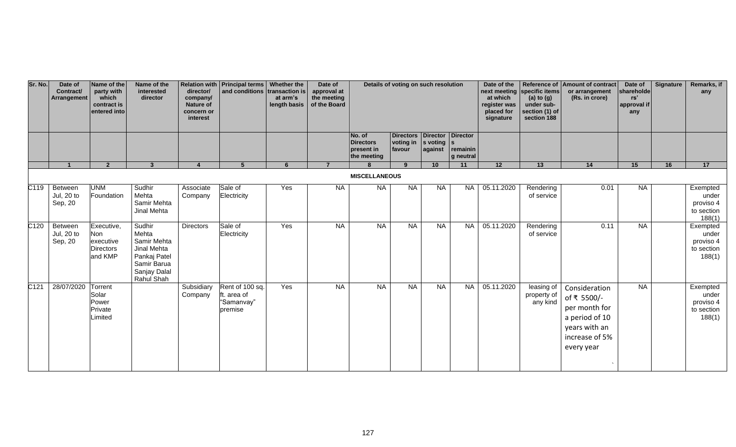| Sr. No.          | Date of<br>Contract/<br>Arrangement | Name of the<br>party with<br>which<br>contract is<br>entered into | Name of the<br>interested<br>director                                                                      | director/<br>company/<br><b>Nature of</b><br>concern or<br>interest | Relation with Principal terms   Whether the<br>and conditions transaction is | at arm's<br>length basis | Date of<br>approval at<br>the meeting<br>of the Board | Details of voting on such resolution                    |                                                    |                              | Date of the<br>at which<br>register was<br>placed for<br>signature | next meeting specific items<br>(a) to $(g)$<br>under sub-<br>section (1) of<br>section 188 | Reference of Amount of contract<br>or arrangement<br>(Rs. in crore) | Date of<br>shareholde<br>rs'<br>approval if<br>any                                                               | Signature | Remarks, if<br>any |                                                        |
|------------------|-------------------------------------|-------------------------------------------------------------------|------------------------------------------------------------------------------------------------------------|---------------------------------------------------------------------|------------------------------------------------------------------------------|--------------------------|-------------------------------------------------------|---------------------------------------------------------|----------------------------------------------------|------------------------------|--------------------------------------------------------------------|--------------------------------------------------------------------------------------------|---------------------------------------------------------------------|------------------------------------------------------------------------------------------------------------------|-----------|--------------------|--------------------------------------------------------|
|                  |                                     |                                                                   |                                                                                                            |                                                                     |                                                                              |                          |                                                       | No. of<br><b>Directors</b><br>present in<br>the meeting | Directors Director Director<br>voting in<br>favour | $ s$ voting $ s $<br>against | remainin<br>g neutral                                              |                                                                                            |                                                                     |                                                                                                                  |           |                    |                                                        |
|                  |                                     | $\overline{2}$                                                    | 3                                                                                                          | $\Delta$                                                            | $5^{\circ}$                                                                  | 6                        | $\overline{7}$                                        |                                                         | $\mathbf{q}$                                       | 10                           | 11                                                                 | 12                                                                                         | 13                                                                  | 14                                                                                                               | 15        | 16                 | 17                                                     |
|                  |                                     |                                                                   |                                                                                                            |                                                                     |                                                                              |                          |                                                       | <b>MISCELLANEOUS</b>                                    |                                                    |                              |                                                                    |                                                                                            |                                                                     |                                                                                                                  |           |                    |                                                        |
| C <sub>119</sub> | Between<br>Jul, 20 to<br>Sep, 20    | <b>UNM</b><br>Foundation                                          | Sudhir<br>Mehta<br>Samir Mehta<br>Jinal Mehta                                                              | Associate<br>Company                                                | Sale of<br>Electricity                                                       | Yes                      | <b>NA</b>                                             | <b>NA</b>                                               | NA                                                 | <b>NA</b>                    | <b>NA</b>                                                          | 05.11.2020                                                                                 | Rendering<br>of service                                             | 0.01                                                                                                             | <b>NA</b> |                    | Exempted<br>under<br>proviso 4<br>to section<br>188(1) |
| C <sub>120</sub> | Between<br>Jul, 20 to<br>Sep, 20    | Executive,<br>Non<br>executive<br><b>Directors</b><br>and KMP     | Sudhir<br>Mehta<br>Samir Mehta<br>Jinal Mehta<br>Pankaj Patel<br>Samir Barua<br>Sanjay Dalal<br>Rahul Shah | Directors                                                           | Sale of<br>Electricity                                                       | Yes                      | <b>NA</b>                                             | NA                                                      | <b>NA</b>                                          | NA                           | NA                                                                 | 05.11.2020                                                                                 | Rendering<br>of service                                             | 0.11                                                                                                             | NA        |                    | Exempted<br>under<br>proviso 4<br>to section<br>188(1) |
| C121             | 28/07/2020                          | Torrent<br>Solar<br>Power<br>Private<br>Limited                   |                                                                                                            | Subsidiary<br>Company                                               | Rent of 100 sq.<br>ft. area of<br>"Samanvay"<br>premise                      | Yes                      | <b>NA</b>                                             | <b>NA</b>                                               | <b>NA</b>                                          | <b>NA</b>                    | <b>NA</b>                                                          | 05.11.2020                                                                                 | leasing of<br>property of<br>any kind                               | Consideration<br>of ₹ 5500/-<br>per month for<br>a period of 10<br>years with an<br>increase of 5%<br>every year | <b>NA</b> |                    | Exempted<br>under<br>proviso 4<br>to section<br>188(1) |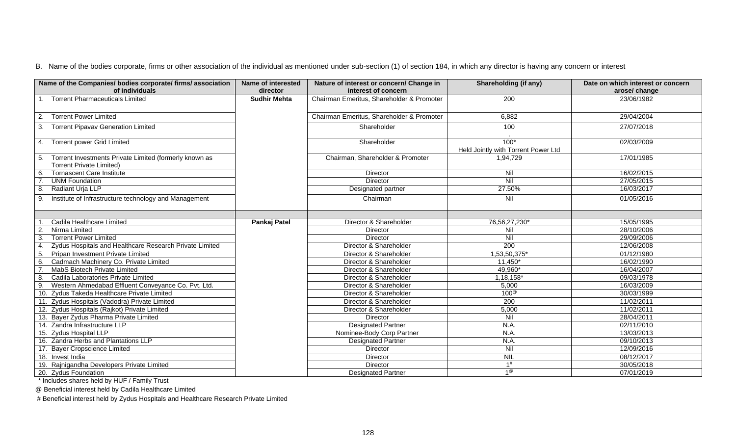| Name of the Companies/ bodies corporate/ firms/ association<br>of individuals    | <b>Name of interested</b><br>director | Nature of interest or concern/ Change in<br>interest of concern | Shareholding (if any)               | Date on which interest or concern<br>arose/ change |
|----------------------------------------------------------------------------------|---------------------------------------|-----------------------------------------------------------------|-------------------------------------|----------------------------------------------------|
| 1. Torrent Pharmaceuticals Limited                                               | <b>Sudhir Mehta</b>                   | Chairman Emeritus, Shareholder & Promoter                       | 200                                 | 23/06/1982                                         |
|                                                                                  |                                       |                                                                 |                                     |                                                    |
| <b>Torrent Power Limited</b><br>2.                                               |                                       | Chairman Emeritus, Shareholder & Promoter                       | 6,882                               | 29/04/2004                                         |
| <b>Torrent Pipavav Generation Limited</b><br>3.                                  |                                       | Shareholder                                                     | 100                                 | $\overline{27/07/2018}$                            |
|                                                                                  |                                       |                                                                 |                                     |                                                    |
| 4. Torrent power Grid Limited                                                    |                                       | Shareholder                                                     | $100*$                              | 02/03/2009                                         |
|                                                                                  |                                       |                                                                 | Held Jointly with Torrent Power Ltd |                                                    |
| Torrent Investments Private Limited (formerly known as<br>5.                     |                                       | Chairman, Shareholder & Promoter                                | 1,94,729                            | 17/01/1985                                         |
| <b>Torrent Private Limited)</b>                                                  |                                       |                                                                 |                                     |                                                    |
| <b>Tornascent Care Institute</b><br>6.                                           |                                       | Director                                                        | Nil                                 | 16/02/2015                                         |
| <b>UNM Foundation</b>                                                            |                                       | Director                                                        | Nil                                 | 27/05/2015                                         |
| Radiant Urja LLP<br>8.                                                           |                                       | Designated partner                                              | 27.50%                              | 16/03/2017                                         |
| Institute of Infrastructure technology and Management<br>9.                      |                                       | Chairman                                                        | Nil                                 | 01/05/2016                                         |
|                                                                                  |                                       |                                                                 |                                     |                                                    |
|                                                                                  |                                       |                                                                 |                                     |                                                    |
| Cadila Healthcare Limited                                                        | Pankaj Patel                          | Director & Shareholder                                          | 76,56,27,230*                       | 15/05/1995                                         |
| Nirma Limited<br>$\overline{2}$                                                  |                                       | Director                                                        | Nil                                 | 28/10/2006                                         |
| 3<br><b>Torrent Power Limited</b>                                                |                                       | Director                                                        | Nil                                 | 29/09/2006                                         |
| Zydus Hospitals and Healthcare Research Private Limited<br>$\boldsymbol{\Delta}$ |                                       | Director & Shareholder                                          | $\overline{200}$                    | 12/06/2008                                         |
| Pripan Investment Private Limited<br>-5.                                         |                                       | Director & Shareholder                                          | 1,53,50,375*                        | 01/12/1980                                         |
| Cadmach Machinery Co. Private Limited<br>6.                                      |                                       | Director & Shareholder                                          | 11,450*                             | 16/02/1990                                         |
| MabS Biotech Private Limited                                                     |                                       | Director & Shareholder                                          | 49,960*                             | 16/04/2007                                         |
| Cadila Laboratories Private Limited                                              |                                       | Director & Shareholder                                          | 1,18,158*                           | 09/03/1978                                         |
| Western Ahmedabad Effluent Conveyance Co. Pvt. Ltd.<br>9.                        |                                       | Director & Shareholder                                          | 5,000                               | 16/03/2009                                         |
| 10. Zydus Takeda Healthcare Private Limited                                      |                                       | Director & Shareholder                                          | $100^\circ$                         | 30/03/1999                                         |
| 11. Zydus Hospitals (Vadodra) Private Limited                                    |                                       | Director & Shareholder                                          | $\overline{200}$                    | 11/02/2011                                         |
| 12. Zydus Hospitals (Rajkot) Private Limited                                     |                                       | Director & Shareholder                                          | 5,000                               | 11/02/2011                                         |
| 13. Bayer Zydus Pharma Private Limited                                           |                                       | Director                                                        | Nil                                 | 28/04/2011                                         |
| 14. Zandra Infrastructure LLP                                                    |                                       | <b>Designated Partner</b>                                       | N.A.                                | 02/11/2010                                         |
| 15. Zydus Hospital LLP                                                           |                                       | Nominee-Body Corp Partner                                       | N.A.                                | 13/03/2013                                         |
| 16. Zandra Herbs and Plantations LLP                                             |                                       | <b>Designated Partner</b>                                       | N.A.                                | 09/10/2013                                         |
| 17. Bayer Cropscience Limited                                                    |                                       | Director                                                        | Nil                                 | 12/09/2016                                         |
| 18. Invest India                                                                 |                                       | Director                                                        | <b>NIL</b>                          | 08/12/2017                                         |
| 19. Rajnigandha Developers Private Limited                                       |                                       | Director                                                        | 1#                                  | 30/05/2018                                         |
| 20. Zydus Foundation                                                             |                                       | <b>Designated Partner</b>                                       | $1^\circledR$                       | 07/01/2019                                         |

\* Includes shares held by HUF / Family Trust

@ Beneficial interest held by Cadila Healthcare Limited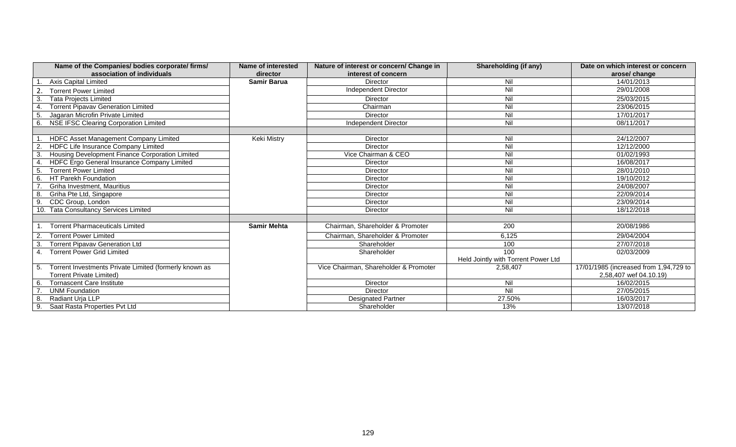|                | Name of the Companies/ bodies corporate/ firms/        | Name of interested | Nature of interest or concern/ Change in | Shareholding (if any)               | Date on which interest or concern      |
|----------------|--------------------------------------------------------|--------------------|------------------------------------------|-------------------------------------|----------------------------------------|
|                | association of individuals                             | director           | interest of concern                      |                                     | arose/ change                          |
|                | Axis Capital Limited                                   | <b>Samir Barua</b> | Director                                 | Nil                                 | 14/01/2013                             |
|                | <b>Torrent Power Limited</b>                           |                    | Independent Director                     | Nil                                 | 29/01/2008                             |
| 3.             | <b>Tata Projects Limited</b>                           |                    | Director                                 | $\overline{N}$                      | 25/03/2015                             |
| $\overline{4}$ | <b>Torrent Pipavav Generation Limited</b>              |                    | Chairman                                 | Nil                                 | 23/06/2015                             |
| 5.             | Jagaran Microfin Private Limited                       |                    | Director                                 | Nil                                 | 17/01/2017                             |
| 6.             | NSE IFSC Clearing Corporation Limited                  |                    | Independent Director                     | Nil                                 | 08/11/2017                             |
|                |                                                        |                    |                                          |                                     |                                        |
|                | HDFC Asset Management Company Limited                  | Keki Mistry        | Director                                 | $\overline{N}$                      | 24/12/2007                             |
|                | HDFC Life Insurance Company Limited                    |                    | Director                                 | Nil                                 | 12/12/2000                             |
| 3.             | Housing Development Finance Corporation Limited        |                    | Vice Chairman & CEO                      | Nil                                 | 01/02/1993                             |
| 4.             | HDFC Ergo General Insurance Company Limited            |                    | <b>Director</b>                          | Nil                                 | 16/08/2017                             |
| 5.             | <b>Torrent Power Limited</b>                           |                    | <b>Director</b>                          | Nil                                 | 28/01/2010                             |
| 6.             | HT Parekh Foundation                                   |                    | Director                                 | Nil                                 | 19/10/2012                             |
|                | Griha Investment, Mauritius                            |                    | Director                                 | Nil                                 | 24/08/2007                             |
| 8              | Griha Pte Ltd, Singapore                               |                    | Director                                 | Nil                                 | 22/09/2014                             |
| 9.             | CDC Group, London                                      |                    | Director                                 | Nil                                 | 23/09/2014                             |
|                | 10. Tata Consultancy Services Limited                  |                    | <b>Director</b>                          | $\overline{N}$                      | 18/12/2018                             |
|                |                                                        |                    |                                          |                                     |                                        |
|                | <b>Torrent Pharmaceuticals Limited</b>                 | <b>Samir Mehta</b> | Chairman, Shareholder & Promoter         | 200                                 | 20/08/1986                             |
| $\overline{2}$ | <b>Torrent Power Limited</b>                           |                    | Chairman, Shareholder & Promoter         | 6,125                               | 29/04/2004                             |
| 3.             | <b>Torrent Pipavav Generation Ltd</b>                  |                    | Shareholder                              | 100                                 | 27/07/2018                             |
| 4.             | <b>Torrent Power Grid Limited</b>                      |                    | Shareholder                              | 100                                 | 02/03/2009                             |
|                |                                                        |                    |                                          | Held Jointly with Torrent Power Ltd |                                        |
| -5.            | Torrent Investments Private Limited (formerly known as |                    | Vice Chairman, Shareholder & Promoter    | 2,58,407                            | 17/01/1985 (increased from 1,94,729 to |
|                | <b>Torrent Private Limited)</b>                        |                    |                                          |                                     | 2,58,407 wef 04.10.19)                 |
| 6.             | <b>Tornascent Care Institute</b>                       |                    | <b>Director</b>                          | Nil                                 | 16/02/2015                             |
|                | <b>UNM Foundation</b>                                  |                    | Director                                 | Nil                                 | 27/05/2015                             |
| -8.            | Radiant Uria LLP                                       |                    | <b>Designated Partner</b>                | 27.50%                              | 16/03/2017                             |
| 9.             | Saat Rasta Properties Pvt Ltd                          |                    | Shareholder                              | 13%                                 | 13/07/2018                             |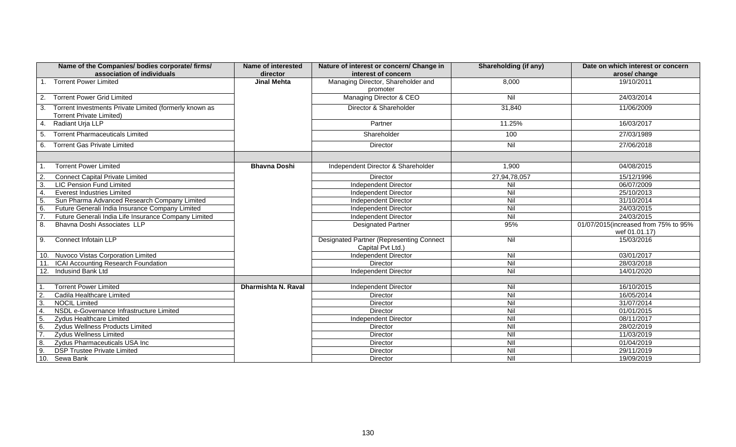| Name of the Companies/ bodies corporate/ firms/<br>association of individuals                   | Name of interested<br>director | Nature of interest or concern/ Change in<br>interest of concern      | <b>Shareholding (if any)</b>       | Date on which interest or concern<br>arose/ change |
|-------------------------------------------------------------------------------------------------|--------------------------------|----------------------------------------------------------------------|------------------------------------|----------------------------------------------------|
| <b>Torrent Power Limited</b>                                                                    | <b>Jinal Mehta</b>             | Managing Director, Shareholder and<br>promoter                       | 8,000                              | 19/10/2011                                         |
| <b>Torrent Power Grid Limited</b><br>2.                                                         |                                | Managing Director & CEO                                              | Nil                                | 24/03/2014                                         |
| Torrent Investments Private Limited (formerly known as<br>3.<br><b>Torrent Private Limited)</b> |                                | Director & Shareholder                                               | 31,840                             | 11/06/2009                                         |
| 4.<br>Radiant Urja LLP                                                                          |                                | Partner                                                              | 11.25%                             | 16/03/2017                                         |
| <b>Torrent Pharmaceuticals Limited</b><br>-5.                                                   |                                | Shareholder                                                          | 100                                | 27/03/1989                                         |
| <b>Torrent Gas Private Limited</b><br>6.                                                        |                                | <b>Director</b>                                                      | Nil                                | 27/06/2018                                         |
|                                                                                                 |                                |                                                                      |                                    |                                                    |
| <b>Torrent Power Limited</b>                                                                    | <b>Bhavna Doshi</b>            | Independent Director & Shareholder                                   | 1,900                              | 04/08/2015                                         |
| <b>Connect Capital Private Limited</b><br>$\overline{2}$                                        |                                | <b>Director</b>                                                      | 27,94,78,057                       | 15/12/1996                                         |
| $\overline{3}$<br><b>LIC Pension Fund Limited</b>                                               |                                | <b>Independent Director</b>                                          | Nil                                | 06/07/2009                                         |
| $\overline{4}$<br><b>Everest Industries Limited</b>                                             |                                | Independent Director                                                 | Nil                                | 25/10/2013                                         |
| 5<br>Sun Pharma Advanced Research Company Limited                                               |                                | Independent Director                                                 | Nil                                | 31/10/2014                                         |
| 6.<br>Future Generali India Insurance Company Limited                                           |                                | Independent Director                                                 | Nil                                | 24/03/2015                                         |
| Future Generali India Life Insurance Company Limited                                            |                                | Independent Director                                                 | Nil                                | 24/03/2015                                         |
| 8.<br>Bhavna Doshi Associates LLP                                                               |                                | <b>Designated Partner</b>                                            | 95%                                | 01/07/2015(increased from 75% to 95%               |
|                                                                                                 |                                |                                                                      |                                    | wef 01.01.17)                                      |
| <b>Connect Infotain LLP</b><br>9.                                                               |                                | <b>Designated Partner (Representing Connect</b><br>Capital Pvt Ltd.) | Nil                                | 15/03/2016                                         |
| 10. Nuvoco Vistas Corporation Limited                                                           |                                | Independent Director                                                 | Nil                                | 03/01/2017                                         |
| ICAI Accounting Research Foundation                                                             |                                | Director                                                             | Nil                                | 28/03/2018                                         |
| 12.<br>Indusind Bank Ltd                                                                        |                                | <b>Independent Director</b>                                          | Nil                                | 14/01/2020                                         |
|                                                                                                 |                                |                                                                      |                                    |                                                    |
| <b>Torrent Power Limited</b>                                                                    | Dharmishta N. Raval            | Independent Director                                                 | Nil                                | 16/10/2015                                         |
| $\overline{2}$<br>Cadila Healthcare Limited                                                     |                                | Director                                                             | $\overline{N}$                     | 16/05/2014                                         |
| $\overline{3}$ .<br><b>NOCIL</b> Limited                                                        |                                | <b>Director</b>                                                      | Nil                                | 31/07/2014                                         |
| $\overline{4}$<br>NSDL e-Governance Infrastructure Limited                                      |                                | Director                                                             | Nil                                | 01/01/2015                                         |
| 5.<br><b>Zydus Healthcare Limited</b>                                                           |                                | Independent Director                                                 | $\overline{\overline{\mathsf{N}}}$ | 08/11/2017                                         |
| 6.<br>Zydus Wellness Products Limited                                                           |                                | <b>Director</b>                                                      | NII                                | 28/02/2019                                         |
| $\overline{7}$ .<br><b>Zydus Wellness Limited</b>                                               |                                | Director                                                             | $\overline{\overline{\mathsf{N}}}$ | 11/03/2019                                         |
| 8.<br>Zydus Pharmaceuticals USA Inc                                                             |                                | Director                                                             | $\overline{\overline{\mathsf{N}}}$ | 01/04/2019                                         |
| 9<br><b>DSP Trustee Private Limited</b>                                                         |                                | Director                                                             | NII                                | 29/11/2019                                         |
| 10.<br>Sewa Bank                                                                                |                                | Director                                                             | $\overline{\overline{\mathsf{N}}}$ | 19/09/2019                                         |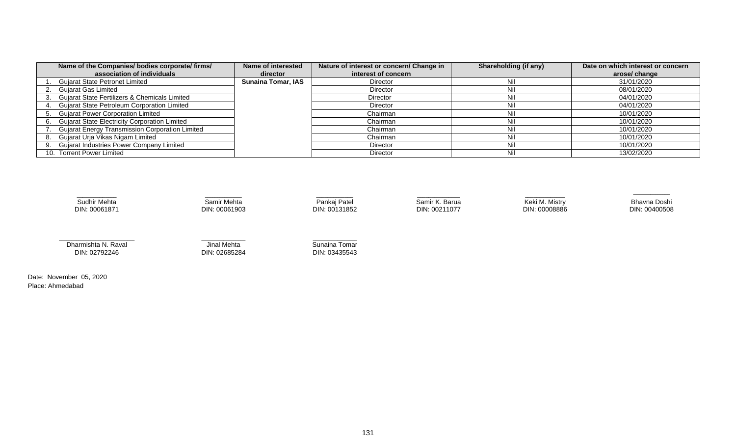| Name of the Companies/ bodies corporate/ firms/        | Name of interested        | Nature of interest or concern/ Change in | Shareholding (if any) | Date on which interest or concern |
|--------------------------------------------------------|---------------------------|------------------------------------------|-----------------------|-----------------------------------|
| association of individuals                             | director                  | interest of concern                      |                       | arose/ change                     |
| <b>Gujarat State Petronet Limited</b>                  | <b>Sunaina Tomar, IAS</b> | <b>Director</b>                          | Nil                   | 31/01/2020                        |
| <b>Gujarat Gas Limited</b>                             |                           | Director                                 | Nil                   | 08/01/2020                        |
| Gujarat State Fertilizers & Chemicals Limited          |                           | Director                                 | Nil                   | 04/01/2020                        |
| Gujarat State Petroleum Corporation Limited            |                           | <b>Director</b>                          | Nil                   | 04/01/2020                        |
| <b>Gujarat Power Corporation Limited</b>               |                           | Chairman                                 | Nil                   | 10/01/2020                        |
| <b>Gujarat State Electricity Corporation Limited</b>   |                           | Chairman                                 | Nil                   | 10/01/2020                        |
| <b>Gujarat Energy Transmission Corporation Limited</b> |                           | Chairman                                 | Nil                   | 10/01/2020                        |
| Gujarat Urja Vikas Nigam Limited                       |                           | Chairman                                 | Nil                   | 10/01/2020                        |
| <b>Gujarat Industries Power Company Limited</b>        |                           | Director                                 | Nil                   | 10/01/2020                        |
| 10. Torrent Power Limited                              |                           | <b>Director</b>                          | Nil                   | 13/02/2020                        |



Date: November 05, 2020 Place: Ahmedabad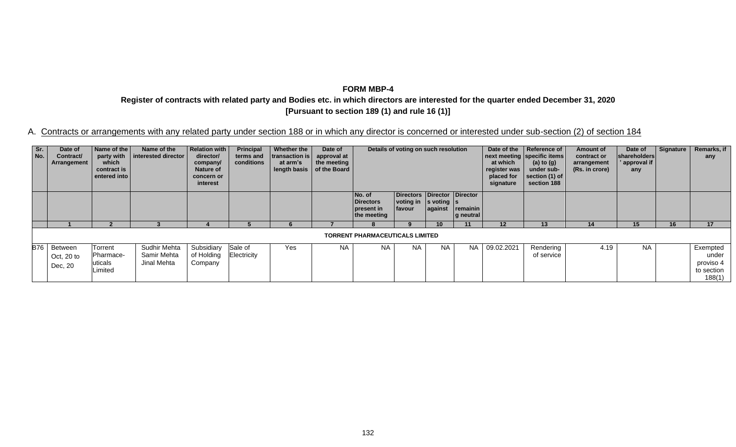**Register of contracts with related party and Bodies etc. in which directors are interested for the quarter ended December 31, 2020 [Pursuant to section 189 (1) and rule 16 (1)]**

| Sr.<br>No. | Date of<br>Contract/<br>Arrangement    | Name of the<br>party with<br>which<br>contract is<br>entered into | Name of the<br>interested director         | <b>Relation with</b><br>director/<br>company/<br><b>Nature of</b><br>concern or<br>interest | Principal<br>terms and<br>conditions | Whether the<br>transaction is<br>at arm's | Date of<br>approval at<br>the meeting<br>length basis $\vert$ of the Board |                                                  | Details of voting on such resolution                                                |                 |                       | Date of the<br>at which<br>register was<br>placed for<br>signature | Reference of<br>next meeting specific items<br>(a) to $(g)$<br>under sub-<br>section (1) of<br>section 188 | Amount of<br>contract or<br>arrangement<br>(Rs. in crore) | Date of<br>shareholders<br>' approval if  <br>any | Signature | Remarks, if<br>any                                     |
|------------|----------------------------------------|-------------------------------------------------------------------|--------------------------------------------|---------------------------------------------------------------------------------------------|--------------------------------------|-------------------------------------------|----------------------------------------------------------------------------|--------------------------------------------------|-------------------------------------------------------------------------------------|-----------------|-----------------------|--------------------------------------------------------------------|------------------------------------------------------------------------------------------------------------|-----------------------------------------------------------|---------------------------------------------------|-----------|--------------------------------------------------------|
|            |                                        |                                                                   |                                            |                                                                                             |                                      |                                           |                                                                            | No. of<br>Directors<br>present in<br>the meeting | Directors Director Director<br>voting in $ s \rangle$ voting $ s \rangle$<br>favour | against         | remainin<br>g neutral |                                                                    |                                                                                                            |                                                           |                                                   |           |                                                        |
|            |                                        |                                                                   |                                            |                                                                                             |                                      |                                           |                                                                            |                                                  | 9                                                                                   | 10 <sup>1</sup> | 11                    | $12 \,$                                                            | 13                                                                                                         | 14                                                        | 15                                                | 16        | 17                                                     |
|            |                                        |                                                                   |                                            |                                                                                             |                                      |                                           |                                                                            | <b>TORRENT PHARMACEUTICALS LIMITED</b>           |                                                                                     |                 |                       |                                                                    |                                                                                                            |                                                           |                                                   |           |                                                        |
|            | B76 Between<br>Oct, $20$ to<br>Dec, 20 | Torrent<br>Pharmace-<br>uticals<br>Limited                        | Sudhir Mehta<br>Samir Mehta<br>Jinal Mehta | Subsidiary<br>of Holding<br>Company                                                         | Sale of<br>Electricity               | Yes                                       | <b>NA</b>                                                                  | <b>NA</b>                                        | <b>NA</b>                                                                           | <b>NA</b>       | <b>NA</b>             | 09.02.2021                                                         | Rendering<br>of service                                                                                    | 4.19                                                      | <b>NA</b>                                         |           | Exempted<br>under<br>proviso 4<br>to section<br>188(1) |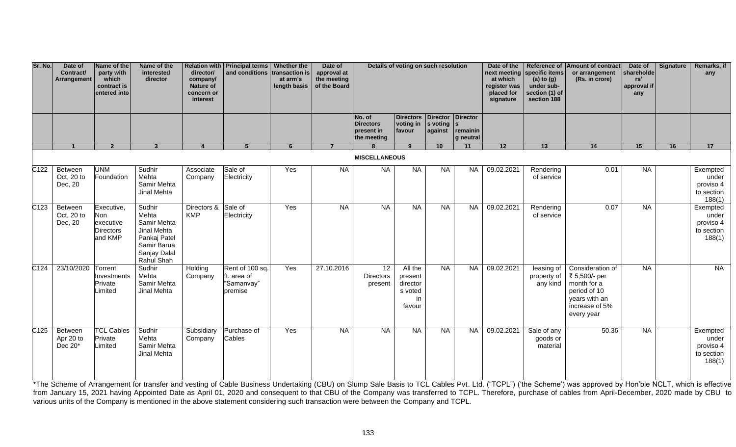| Sr. No.           | Date of<br>Contract/<br><b>Arrangement</b> | Name of the<br>party with<br>which<br>contract is<br>entered into | Name of the<br>interested<br>director                                                                      | director/<br>company/<br>Nature of<br>concern or<br>interest | Relation with   Principal terms   Whether the<br>and conditions transaction is | at arm's<br>length basis | Date of<br>approval at<br>the meeting<br>of the Board | Details of voting on such resolution<br>Directors   Director   Director<br>No. of<br><b>Directors</b><br>voting in<br>$ s $ voting $ s $<br>present in<br>favour<br>against<br>remainin |                                                           |           | Date of the<br>at which<br>register was<br>placed for<br>signature | next meeting specific items<br>(a) to $(g)$<br>under sub-<br>section (1) of<br>section 188 | Reference of Amount of contract<br>or arrangement<br>(Rs. in crore) | Date of<br>shareholde<br>rs'<br>approval if<br>any                                                                | Signature | Remarks, if<br>any |                                                        |
|-------------------|--------------------------------------------|-------------------------------------------------------------------|------------------------------------------------------------------------------------------------------------|--------------------------------------------------------------|--------------------------------------------------------------------------------|--------------------------|-------------------------------------------------------|-----------------------------------------------------------------------------------------------------------------------------------------------------------------------------------------|-----------------------------------------------------------|-----------|--------------------------------------------------------------------|--------------------------------------------------------------------------------------------|---------------------------------------------------------------------|-------------------------------------------------------------------------------------------------------------------|-----------|--------------------|--------------------------------------------------------|
|                   |                                            |                                                                   |                                                                                                            |                                                              |                                                                                |                          |                                                       | the meeting                                                                                                                                                                             |                                                           |           | g neutral                                                          |                                                                                            |                                                                     |                                                                                                                   |           |                    |                                                        |
|                   | $\mathbf{1}$                               | $\overline{2}$                                                    | $\mathbf{3}$                                                                                               | $\overline{4}$                                               | 5                                                                              | 6                        | $\overline{7}$                                        | $\mathbf{R}$                                                                                                                                                                            | 9                                                         | 10        | 11                                                                 | 12                                                                                         | 13                                                                  | 14                                                                                                                | 15        | 16                 | 17                                                     |
| $\overline{C122}$ | Between<br>Oct, 20 to<br>Dec, 20           | <b>UNM</b><br>Foundation                                          | Sudhir<br>Mehta<br>Samir Mehta<br>Jinal Mehta                                                              | Associate<br>Company                                         | Sale of<br>Electricity                                                         | Yes                      | <b>NA</b>                                             | <b>MISCELLANEOUS</b><br><b>NA</b>                                                                                                                                                       | NA                                                        | <b>NA</b> | <b>NA</b>                                                          | 09.02.2021                                                                                 | Rendering<br>of service                                             | 0.01                                                                                                              | NA        |                    | Exempted<br>under<br>proviso 4<br>to section<br>188(1) |
| $\overline{C123}$ | Between<br>Oct, 20 to<br>Dec, 20           | Executive,<br>Non<br>executive<br><b>Directors</b><br>and KMP     | Sudhir<br>Mehta<br>Samir Mehta<br>Jinal Mehta<br>Pankaj Patel<br>Samir Barua<br>Sanjay Dalal<br>Rahul Shah | Directors &<br><b>KMP</b>                                    | Sale of<br>Electricity                                                         | Yes                      | <b>NA</b>                                             | <b>NA</b>                                                                                                                                                                               | <b>NA</b>                                                 | <b>NA</b> | <b>NA</b>                                                          | 09.02.2021                                                                                 | Rendering<br>of service                                             | 0.07                                                                                                              | <b>NA</b> |                    | Exempted<br>under<br>proviso 4<br>to section<br>188(1) |
| C <sub>124</sub>  | 23/10/2020                                 | Torrent<br>Investments<br>Private<br>Limited                      | Sudhir<br>Mehta<br>Samir Mehta<br>Jinal Mehta                                                              | Holding<br>Company                                           | Rent of 100 sq.<br>Ift. area of<br>"Samanvay"<br>premise                       | Yes                      | 27.10.2016                                            | 12<br><b>Directors</b><br>present                                                                                                                                                       | All the<br>present<br>director<br>s voted<br>in<br>favour | <b>NA</b> | <b>NA</b>                                                          | 09.02.2021                                                                                 | leasing $of$<br>property of<br>any kind                             | Consideration of<br>₹ 5,500/- per<br>month for a<br>period of 10<br>years with an<br>increase of 5%<br>every year | NA        |                    | NA                                                     |
| C <sub>125</sub>  | Between<br>Apr 20 to<br>Dec 20*            | <b>TCL Cables</b><br>Private<br>Limited                           | Sudhir<br>Mehta<br>Samir Mehta<br>Jinal Mehta                                                              | Subsidiary<br>Company                                        | Purchase of<br>Cables                                                          | Yes                      | <b>NA</b>                                             | <b>NA</b>                                                                                                                                                                               | <b>NA</b>                                                 | <b>NA</b> | <b>NA</b>                                                          | 09.02.2021                                                                                 | Sale of any<br>goods or<br>material                                 | 50.36                                                                                                             | <b>NA</b> |                    | Exempted<br>under<br>proviso 4<br>to section<br>188(1) |

\*The Scheme of Arrangement for transfer and vesting of Cable Business Undertaking (CBU) on Slump Sale Basis to TCL Cables Pvt. Ltd. ("TCPL") ('the Scheme') was approved by Hon'ble NCLT, which is effective from January 15, 2021 having Appointed Date as April 01, 2020 and consequent to that CBU of the Company was transferred to TCPL. Therefore, purchase of cables from April-December, 2020 made by CBU to various units of the Company is mentioned in the above statement considering such transaction were between the Company and TCPL.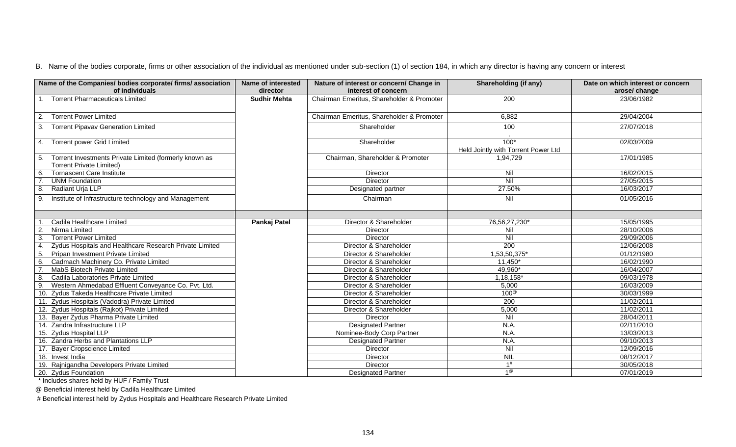| Name of the Companies/ bodies corporate/ firms/ association<br>of individuals                   | <b>Name of interested</b><br>director | Nature of interest or concern/ Change in<br>interest of concern | Shareholding (if any)                         | Date on which interest or concern<br>arose/ change |
|-------------------------------------------------------------------------------------------------|---------------------------------------|-----------------------------------------------------------------|-----------------------------------------------|----------------------------------------------------|
| 1. Torrent Pharmaceuticals Limited                                                              | <b>Sudhir Mehta</b>                   | Chairman Emeritus, Shareholder & Promoter                       | $\overline{200}$                              | 23/06/1982                                         |
| <b>Torrent Power Limited</b><br>2.                                                              |                                       | Chairman Emeritus, Shareholder & Promoter                       | 6,882                                         | 29/04/2004                                         |
| <b>Torrent Pipavav Generation Limited</b><br>3.                                                 |                                       | Shareholder                                                     | 100                                           | 27/07/2018                                         |
| 4. Torrent power Grid Limited                                                                   |                                       | Shareholder                                                     | $100*$<br>Held Jointly with Torrent Power Ltd | 02/03/2009                                         |
| Torrent Investments Private Limited (formerly known as<br>5.<br><b>Torrent Private Limited)</b> |                                       | Chairman, Shareholder & Promoter                                | 1,94,729                                      | 17/01/1985                                         |
| <b>Tornascent Care Institute</b><br>6.                                                          |                                       | Director                                                        | Nil                                           | 16/02/2015                                         |
| <b>UNM Foundation</b>                                                                           |                                       | Director                                                        | Nil                                           | 27/05/2015                                         |
| Radiant Urja LLP<br>8.                                                                          |                                       | Designated partner                                              | 27.50%                                        | 16/03/2017                                         |
| Institute of Infrastructure technology and Management<br>9.                                     |                                       | Chairman                                                        | Nil                                           | 01/05/2016                                         |
|                                                                                                 |                                       |                                                                 |                                               |                                                    |
| Cadila Healthcare Limited                                                                       | Pankaj Patel                          | Director & Shareholder                                          | 76,56,27,230*                                 | 15/05/1995                                         |
| Nirma Limited                                                                                   |                                       | Director                                                        | Nil                                           | 28/10/2006                                         |
| 3.<br><b>Torrent Power Limited</b>                                                              |                                       | Director                                                        | Nil                                           | 29/09/2006                                         |
| Zydus Hospitals and Healthcare Research Private Limited<br>$\overline{4}$                       |                                       | Director & Shareholder                                          | $\overline{200}$                              | 12/06/2008                                         |
| Pripan Investment Private Limited<br>-5.                                                        |                                       | Director & Shareholder                                          | 1,53,50,375*                                  | 01/12/1980                                         |
| Cadmach Machinery Co. Private Limited<br>6.                                                     |                                       | Director & Shareholder                                          | $11,450*$                                     | 16/02/1990                                         |
| MabS Biotech Private Limited                                                                    |                                       | Director & Shareholder                                          | 49,960*                                       | 16/04/2007                                         |
| Cadila Laboratories Private Limited<br>8.                                                       |                                       | Director & Shareholder                                          | 1,18,158*                                     | 09/03/1978                                         |
| Western Ahmedabad Effluent Conveyance Co. Pvt. Ltd.<br>9.                                       |                                       | Director & Shareholder                                          | 5,000                                         | 16/03/2009                                         |
| 10. Zydus Takeda Healthcare Private Limited                                                     |                                       | Director & Shareholder                                          | $100^\circ$                                   | 30/03/1999                                         |
| . Zydus Hospitals (Vadodra) Private Limited                                                     |                                       | Director & Shareholder                                          | 200                                           | 11/02/2011                                         |
| 12. Zydus Hospitals (Rajkot) Private Limited                                                    |                                       | Director & Shareholder                                          | 5,000                                         | 11/02/2011                                         |
| 13. Bayer Zydus Pharma Private Limited                                                          |                                       | Director                                                        | Nil                                           | 28/04/2011                                         |
| 14. Zandra Infrastructure LLP                                                                   |                                       | <b>Designated Partner</b>                                       | N.A.                                          | 02/11/2010                                         |
| 15. Zydus Hospital LLP                                                                          |                                       | Nominee-Body Corp Partner                                       | N.A.                                          | 13/03/2013                                         |
| 16. Zandra Herbs and Plantations LLP                                                            |                                       | <b>Designated Partner</b>                                       | N.A.                                          | 09/10/2013                                         |
| 17. Bayer Cropscience Limited                                                                   |                                       | Director                                                        | Nil                                           | 12/09/2016                                         |
| 18. Invest India                                                                                |                                       | Director                                                        | <b>NIL</b>                                    | 08/12/2017                                         |
| 19. Rajnigandha Developers Private Limited                                                      |                                       | Director                                                        | 1#                                            | 30/05/2018                                         |
| 20. Zydus Foundation                                                                            |                                       | <b>Designated Partner</b>                                       | $1^\circledR$                                 | 07/01/2019                                         |

\* Includes shares held by HUF / Family Trust

@ Beneficial interest held by Cadila Healthcare Limited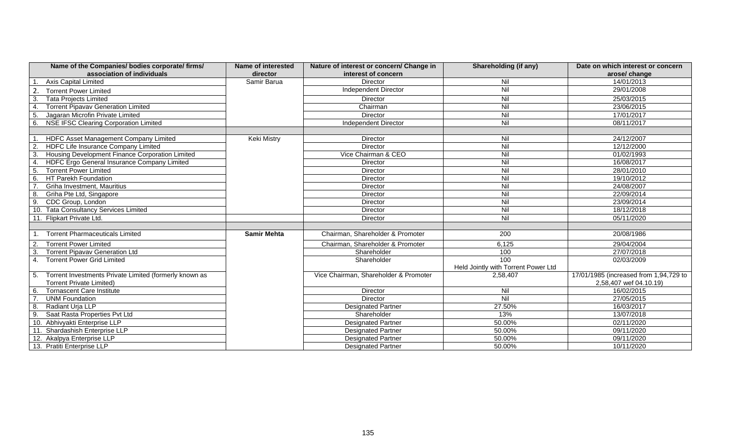| Name of the Companies/ bodies corporate/ firms/<br>association of individuals | <b>Name of interested</b><br>director | Nature of interest or concern/ Change in<br>interest of concern | <b>Shareholding (if any)</b>        | Date on which interest or concern<br>arose/ change |
|-------------------------------------------------------------------------------|---------------------------------------|-----------------------------------------------------------------|-------------------------------------|----------------------------------------------------|
| <b>Axis Capital Limited</b>                                                   | Samir Barua                           | Director                                                        | Nil                                 | 14/01/2013                                         |
| <b>Torrent Power Limited</b>                                                  |                                       | Independent Director                                            | Nil                                 | 29/01/2008                                         |
| 3<br><b>Tata Projects Limited</b>                                             |                                       | Director                                                        | $\overline{N}$                      | 25/03/2015                                         |
| <b>Torrent Pipavav Generation Limited</b><br>$\overline{4}$                   |                                       | Chairman                                                        | $\overline{N}$                      | 23/06/2015                                         |
| 5<br>Jagaran Microfin Private Limited                                         |                                       | Director                                                        | $\overline{N}$                      | 17/01/2017                                         |
| <b>NSE IFSC Clearing Corporation Limited</b><br>6.                            |                                       | <b>Independent Director</b>                                     | $\overline{N}$                      | 08/11/2017                                         |
|                                                                               |                                       |                                                                 |                                     |                                                    |
| HDFC Asset Management Company Limited                                         | <b>Keki Mistry</b>                    | Director                                                        | Nil                                 | 24/12/2007                                         |
| <b>HDFC Life Insurance Company Limited</b><br>$\overline{2}$ .                |                                       | Director                                                        | Nil                                 | 12/12/2000                                         |
| $\overline{3}$ .<br>Housing Development Finance Corporation Limited           |                                       | Vice Chairman & CEO                                             | Nil                                 | 01/02/1993                                         |
| HDFC Ergo General Insurance Company Limited<br>$\overline{4}$                 |                                       | Director                                                        | $\overline{N}$                      | 16/08/2017                                         |
| <b>Torrent Power Limited</b><br>5                                             |                                       | Director                                                        | $\overline{N}$                      | 28/01/2010                                         |
| HT Parekh Foundation<br>6.                                                    |                                       | Director                                                        | Nil                                 | 19/10/2012                                         |
| Griha Investment, Mauritius                                                   |                                       | Director                                                        | $\overline{N}$                      | 24/08/2007                                         |
| 8.<br>Griha Pte Ltd, Singapore                                                |                                       | Director                                                        | Nil                                 | 22/09/2014                                         |
| CDC Group, London<br>9.                                                       |                                       | Director                                                        | $\overline{N}$                      | 23/09/2014                                         |
| 10. Tata Consultancy Services Limited                                         |                                       | <b>Director</b>                                                 | $\overline{N}$                      | 18/12/2018                                         |
| 11. Flipkart Private Ltd.                                                     |                                       | Director                                                        | $\overline{N}$                      | 05/11/2020                                         |
|                                                                               |                                       |                                                                 |                                     |                                                    |
| <b>Torrent Pharmaceuticals Limited</b>                                        | <b>Samir Mehta</b>                    | Chairman, Shareholder & Promoter                                | 200                                 | 20/08/1986                                         |
| $\overline{2}$<br><b>Torrent Power Limited</b>                                |                                       | Chairman, Shareholder & Promoter                                | 6,125                               | 29/04/2004                                         |
| 3.<br><b>Torrent Pipavav Generation Ltd</b>                                   |                                       | Shareholder                                                     | 100                                 | 27/07/2018                                         |
| <b>Torrent Power Grid Limited</b><br>4.                                       |                                       | Shareholder                                                     | 100                                 | 02/03/2009                                         |
|                                                                               |                                       |                                                                 | Held Jointly with Torrent Power Ltd |                                                    |
| Torrent Investments Private Limited (formerly known as                        |                                       | Vice Chairman, Shareholder & Promoter                           | 2,58,407                            | 17/01/1985 (increased from 1,94,729 to             |
| <b>Torrent Private Limited)</b>                                               |                                       |                                                                 |                                     | 2,58,407 wef 04.10.19)                             |
| <b>Tornascent Care Institute</b><br>6                                         |                                       | Director                                                        | Nil                                 | 16/02/2015                                         |
| <b>UNM Foundation</b>                                                         |                                       | Director                                                        | Nil                                 | 27/05/2015                                         |
| Radiant Uria LLP<br>8.                                                        |                                       | <b>Designated Partner</b>                                       | 27.50%                              | 16/03/2017                                         |
| 9<br>Saat Rasta Properties Pvt Ltd                                            |                                       | Shareholder                                                     | 13%                                 | 13/07/2018                                         |
| 10. Abhivyakti Enterprise LLP                                                 |                                       | <b>Designated Partner</b>                                       | 50.00%                              | 02/11/2020                                         |
| Shardashish Enterprise LLP                                                    |                                       | <b>Designated Partner</b>                                       | 50.00%                              | 09/11/2020                                         |
| 12. Akalpya Enterprise LLP                                                    |                                       | <b>Designated Partner</b>                                       | 50.00%                              | 09/11/2020                                         |
| 13. Pratiti Enterprise LLP                                                    |                                       | <b>Designated Partner</b>                                       | 50.00%                              | 10/11/2020                                         |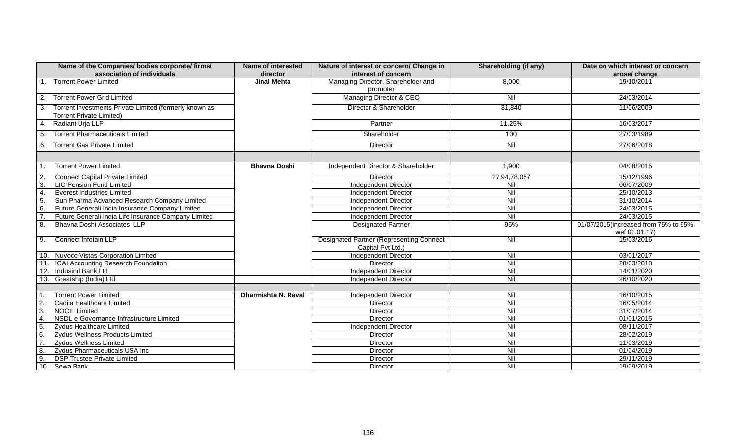| Name of the Companies/ bodies corporate/ firms/<br>association of individuals                   | Name of interested<br>director | Nature of interest or concern/ Change in<br>interest of concern      | <b>Shareholding (if any)</b> | Date on which interest or concern<br>arose/change     |
|-------------------------------------------------------------------------------------------------|--------------------------------|----------------------------------------------------------------------|------------------------------|-------------------------------------------------------|
| <b>Torrent Power Limited</b>                                                                    | Jinal Mehta                    | Managing Director, Shareholder and<br>promoter                       | 8,000                        | 19/10/2011                                            |
| <b>Torrent Power Grid Limited</b><br>2.                                                         |                                | Managing Director & CEO                                              | Nil                          | 24/03/2014                                            |
| Torrent Investments Private Limited (formerly known as<br>3.<br><b>Torrent Private Limited)</b> |                                | Director & Shareholder                                               | 31,840                       | 11/06/2009                                            |
| Radiant Urja LLP<br>4                                                                           |                                | Partner                                                              | 11.25%                       | 16/03/2017                                            |
| <b>Torrent Pharmaceuticals Limited</b><br>5.                                                    |                                | Shareholder                                                          | 100                          | 27/03/1989                                            |
| Torrent Gas Private Limited<br>6.                                                               |                                | <b>Director</b>                                                      | Nil                          | 27/06/2018                                            |
|                                                                                                 |                                |                                                                      |                              |                                                       |
| <b>Torrent Power Limited</b>                                                                    | <b>Bhavna Doshi</b>            | Independent Director & Shareholder                                   | 1,900                        | 04/08/2015                                            |
| <b>Connect Capital Private Limited</b><br>$\overline{2}$                                        |                                | Director                                                             | 27,94,78,057                 | 15/12/1996                                            |
| 3<br><b>LIC Pension Fund Limited</b>                                                            |                                | <b>Independent Director</b>                                          | Nil                          | 06/07/2009                                            |
| <b>Everest Industries Limited</b><br>$\overline{4}$                                             |                                | Independent Director                                                 | Nil                          | 25/10/2013                                            |
| 5<br>Sun Pharma Advanced Research Company Limited                                               |                                | <b>Independent Director</b>                                          | $\overline{N}$               | 31/10/2014                                            |
| 6<br>Future Generali India Insurance Company Limited                                            |                                | Independent Director                                                 | Nil                          | 24/03/2015                                            |
| Future Generali India Life Insurance Company Limited                                            |                                | Independent Director                                                 | Nil                          | 24/03/2015                                            |
| 8.<br>Bhavna Doshi Associates LLP                                                               |                                | <b>Designated Partner</b>                                            | 95%                          | 01/07/2015(increased from 75% to 95%<br>wef 01.01.17) |
| Connect Infotain LLP<br>9.                                                                      |                                | <b>Designated Partner (Representing Connect</b><br>Capital Pvt Ltd.) | Nil                          | 15/03/2016                                            |
| 10. Nuvoco Vistas Corporation Limited                                                           |                                | <b>Independent Director</b>                                          | Nil                          | 03/01/2017                                            |
| ICAI Accounting Research Foundation<br>11.                                                      |                                | <b>Director</b>                                                      | Nil                          | 28/03/2018                                            |
| $\overline{12}$ .<br>Indusind Bank Ltd                                                          |                                | <b>Independent Director</b>                                          | Nil                          | 14/01/2020                                            |
| 13. Greatship (India) Ltd                                                                       |                                | Independent Director                                                 | Nil                          | 26/10/2020                                            |
|                                                                                                 |                                |                                                                      |                              |                                                       |
| <b>Torrent Power Limited</b>                                                                    | Dharmishta N. Raval            | Independent Director                                                 | Nil                          | 16/10/2015                                            |
| Cadila Healthcare Limited<br>$\overline{2}$                                                     |                                | Director                                                             | Nil                          | 16/05/2014                                            |
| 3.<br><b>NOCIL Limited</b>                                                                      |                                | Director                                                             | Nil                          | 31/07/2014                                            |
| NSDL e-Governance Infrastructure Limited<br>$\overline{4}$                                      |                                | Director                                                             | Nil                          | 01/01/2015                                            |
| 5.<br><b>Zydus Healthcare Limited</b>                                                           |                                | Independent Director                                                 | $\overline{N}$               | 08/11/2017                                            |
| 6.<br>Zydus Wellness Products Limited                                                           |                                | Director                                                             | Nil                          | 28/02/2019                                            |
| $\overline{7}$<br><b>Zydus Wellness Limited</b>                                                 |                                | Director                                                             | Nil                          | 11/03/2019                                            |
| 8.<br>Zydus Pharmaceuticals USA Inc                                                             |                                | Director                                                             | $\overline{N}$               | 01/04/2019                                            |
| 9.<br><b>DSP Trustee Private Limited</b>                                                        |                                | Director                                                             | $\overline{N}$               | 29/11/2019                                            |
| 10.<br>Sewa Bank                                                                                |                                | Director                                                             | Nil                          | 19/09/2019                                            |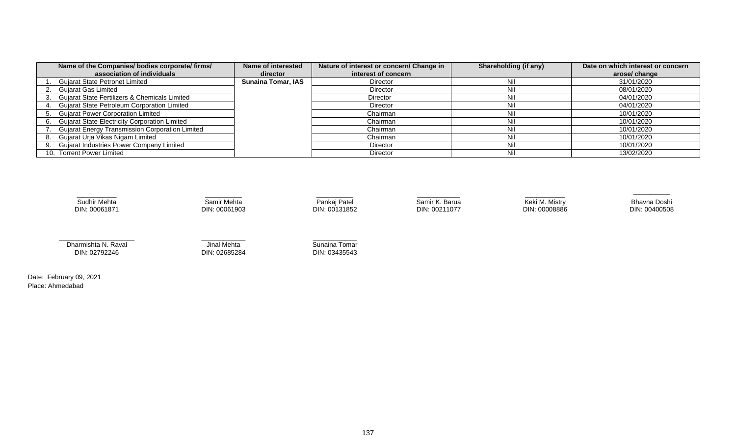| Name of the Companies/ bodies corporate/ firms/        | Name of interested        | Nature of interest or concern/ Change in | Shareholding (if any) | Date on which interest or concern |
|--------------------------------------------------------|---------------------------|------------------------------------------|-----------------------|-----------------------------------|
| association of individuals                             | director                  | interest of concern                      |                       | arose/ change                     |
| <b>Gujarat State Petronet Limited</b>                  | <b>Sunaina Tomar, IAS</b> | <b>Director</b>                          | Nil                   | 31/01/2020                        |
| <b>Gujarat Gas Limited</b>                             |                           | Director                                 | Nil                   | 08/01/2020                        |
| Gujarat State Fertilizers & Chemicals Limited          |                           | Director                                 | Nil                   | 04/01/2020                        |
| Gujarat State Petroleum Corporation Limited            |                           | <b>Director</b>                          | Nil                   | 04/01/2020                        |
| <b>Gujarat Power Corporation Limited</b>               |                           | Chairman                                 | Nil                   | 10/01/2020                        |
| <b>Gujarat State Electricity Corporation Limited</b>   |                           | Chairman                                 | Nil                   | 10/01/2020                        |
| <b>Gujarat Energy Transmission Corporation Limited</b> |                           | Chairman                                 | Nil                   | 10/01/2020                        |
| Gujarat Urja Vikas Nigam Limited                       |                           | Chairman                                 | Nil                   | 10/01/2020                        |
| <b>Gujarat Industries Power Company Limited</b>        |                           | Director                                 | Nil                   | 10/01/2020                        |
| 10. Torrent Power Limited                              |                           | <b>Director</b>                          | Nil                   | 13/02/2020                        |



Date: February 09, 2021 Place: Ahmedabad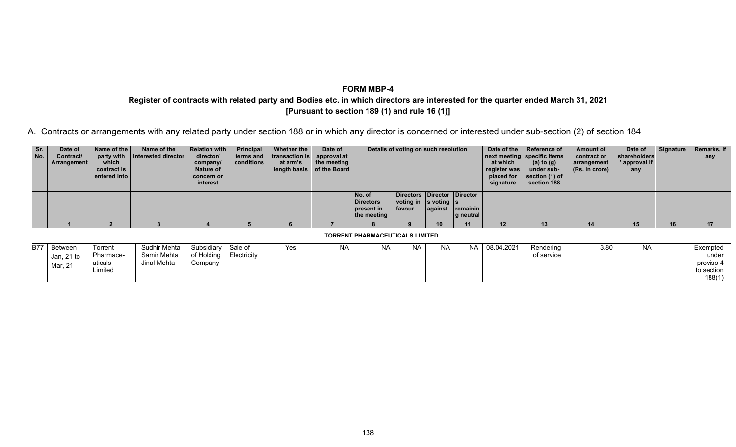**Register of contracts with related party and Bodies etc. in which directors are interested for the quarter ended March 31, 2021 [Pursuant to section 189 (1) and rule 16 (1)]** 

| Sr.<br>No. | Date of<br>Contract/<br>Arrangement  | Name of the<br>party with<br>which<br>contract is<br>entered into | Name of the<br>  interested director       | Relation with<br>director/<br>company/<br>Nature of<br>concern or<br>interest | Principal<br>terms and<br>conditions | <b>Whether the</b><br>transaction is<br>at arm's<br>length basis | Date of<br>approval at<br>the meeting<br>of the Board |                                                         | Details of voting on such resolution                                                         |           |                       | Date of the<br>at which<br>register was<br>placed for<br>signature | Reference of<br>next meeting specific items<br>(a) to $(g)$<br>under sub-<br>section (1) of<br>section 188 | Amount of<br>contract or<br>arrangement<br>(Rs. in crore) | Date of<br>shareholders<br>' approval if<br>any | Signature | Remarks, if<br>any                                     |
|------------|--------------------------------------|-------------------------------------------------------------------|--------------------------------------------|-------------------------------------------------------------------------------|--------------------------------------|------------------------------------------------------------------|-------------------------------------------------------|---------------------------------------------------------|----------------------------------------------------------------------------------------------|-----------|-----------------------|--------------------------------------------------------------------|------------------------------------------------------------------------------------------------------------|-----------------------------------------------------------|-------------------------------------------------|-----------|--------------------------------------------------------|
|            |                                      |                                                                   |                                            |                                                                               |                                      |                                                                  |                                                       | No. of<br><b>Directors</b><br>present in<br>the meeting | Directors Director Director<br>$\vert$ voting in $\vert$ s voting $\vert$ s<br><b>favour</b> | against   | remainin<br>g neutral |                                                                    |                                                                                                            |                                                           |                                                 |           |                                                        |
|            |                                      |                                                                   |                                            |                                                                               |                                      |                                                                  |                                                       |                                                         | q                                                                                            |           | 11                    | 12                                                                 | 13                                                                                                         | 14                                                        | 15                                              | 16        | 17                                                     |
|            |                                      |                                                                   |                                            |                                                                               |                                      | <b>TORRENT PHARMACEUTICALS LIMITED</b>                           |                                                       |                                                         |                                                                                              |           |                       |                                                                    |                                                                                                            |                                                           |                                                 |           |                                                        |
|            | B77 Between<br>Jan, 21 to<br>Mar, 21 | Torrent<br>Pharmace-<br>uticals<br>Limited                        | Sudhir Mehta<br>Samir Mehta<br>Jinal Mehta | Subsidiary<br>of Holding<br>Company                                           | Sale of<br>Electricity               | Yes                                                              | <b>NA</b>                                             | <b>NA</b>                                               | <b>NA</b>                                                                                    | <b>NA</b> | <b>NA</b>             | 08.04.2021                                                         | Rendering<br>of service                                                                                    | 3.80                                                      | <b>NA</b>                                       |           | Exempted<br>under<br>proviso 4<br>to section<br>188(1) |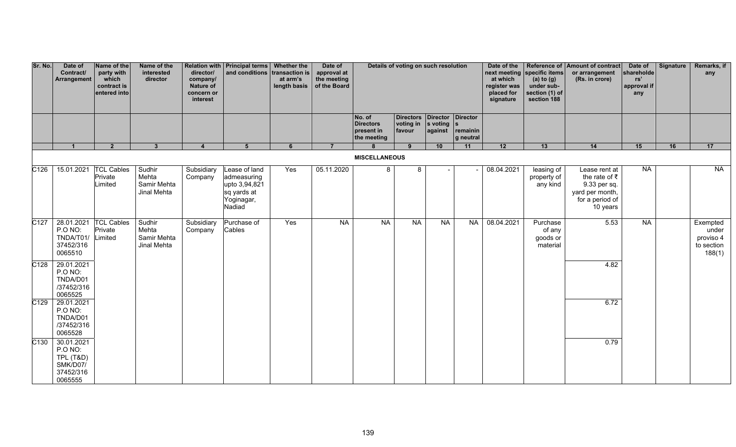| Sr. No.           | Date of<br>Contract/<br>Arrangement                                    | Name of the<br>party with<br>which<br>contract is<br>entered into | Name of the<br>interested<br>director         | director/<br>company/<br>Nature of<br>concern or<br>interest | Relation with   Principal terms   Whether the<br>and conditions transaction is       | at arm's<br>length basis | Date of<br>approval at<br>the meeting<br>of the Board |                                                         | Details of voting on such resolution               |                                       |                       | Date of the<br>at which<br>register was<br>placed for<br>signature | next meeting specific items<br>(a) to $(g)$<br>under sub-<br>section (1) of<br>section 188 | Reference of Amount of contract<br>or arrangement<br>(Rs. in crore)                                      | Date of<br>shareholde<br>rs'<br>approval if<br>any | Signature | Remarks, if<br>any                                     |
|-------------------|------------------------------------------------------------------------|-------------------------------------------------------------------|-----------------------------------------------|--------------------------------------------------------------|--------------------------------------------------------------------------------------|--------------------------|-------------------------------------------------------|---------------------------------------------------------|----------------------------------------------------|---------------------------------------|-----------------------|--------------------------------------------------------------------|--------------------------------------------------------------------------------------------|----------------------------------------------------------------------------------------------------------|----------------------------------------------------|-----------|--------------------------------------------------------|
|                   |                                                                        |                                                                   |                                               |                                                              |                                                                                      |                          |                                                       | No. of<br><b>Directors</b><br>present in<br>the meeting | Directors Director Director<br>voting in<br>favour | $\vert$ s voting $\vert$ s<br>against | remainin<br>g neutral |                                                                    |                                                                                            |                                                                                                          |                                                    |           |                                                        |
|                   | $\blacktriangleleft$                                                   | $\overline{2}$                                                    | 3 <sup>1</sup>                                | $\overline{4}$                                               | 5 <sup>1</sup>                                                                       | 6                        | $\overline{7}$                                        | $\mathbf{R}$<br><b>MISCELLANEOUS</b>                    | 9                                                  | 10                                    | 11                    | 12                                                                 | 13                                                                                         | 14                                                                                                       | 15                                                 | 16        | 17                                                     |
| C126              | 15.01.2021                                                             | <b>TCL Cables</b><br>Private<br>Limited                           | Sudhir<br>Mehta<br>Samir Mehta<br>Jinal Mehta | Subsidiary<br>Company                                        | Lease of land<br>admeasuring<br>upto 3,94,821<br>sq yards at<br>Yoginagar,<br>Nadiad | Yes                      | 05.11.2020                                            | 8                                                       | 8                                                  |                                       |                       | 08.04.2021                                                         | leasing of<br>property of<br>any kind                                                      | Lease rent at<br>the rate of $\bar{z}$<br>9.33 per sq.<br>yard per month,<br>for a period of<br>10 years | <b>NA</b>                                          |           | NA                                                     |
| C <sub>127</sub>  | 28.01.2021<br>P.O NO:<br>TNDA/T01/<br>37452/316<br>0065510             | <b>TCL Cables</b><br>Private<br>Limited                           | Sudhir<br>Mehta<br>Samir Mehta<br>Jinal Mehta | Subsidiary<br>Company                                        | Purchase of<br>Cables                                                                | Yes                      | <b>NA</b>                                             | <b>NA</b>                                               | <b>NA</b>                                          | <b>NA</b>                             | <b>NA</b>             | 08.04.2021                                                         | Purchase<br>of any<br>goods or<br>material                                                 | 5.53                                                                                                     | NA                                                 |           | Exempted<br>under<br>proviso 4<br>to section<br>188(1) |
| $\overline{C128}$ | 29.01.2021<br>P.O NO:<br>TNDA/D01<br>/37452/316<br>0065525             |                                                                   |                                               |                                                              |                                                                                      |                          |                                                       |                                                         |                                                    |                                       |                       |                                                                    |                                                                                            | 4.82                                                                                                     |                                                    |           |                                                        |
| C <sub>129</sub>  | 29.01.2021<br>P.O NO:<br>TNDA/D01<br>/37452/316<br>0065528             |                                                                   |                                               |                                                              |                                                                                      |                          |                                                       |                                                         |                                                    |                                       |                       |                                                                    |                                                                                            | 6.72                                                                                                     |                                                    |           |                                                        |
| C <sub>130</sub>  | 30.01.2021<br>P.O NO:<br>TPL (T&D)<br>SMK/D07/<br>37452/316<br>0065555 |                                                                   |                                               |                                                              |                                                                                      |                          |                                                       |                                                         |                                                    |                                       |                       |                                                                    |                                                                                            | 0.79                                                                                                     |                                                    |           |                                                        |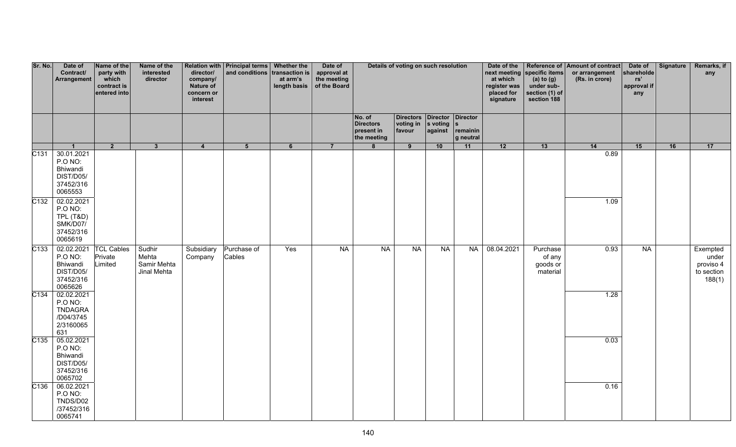| Sr. No.          | Date of<br>Contract/<br>Arrangement                                                    | Name of the<br>party with<br>which<br>contract is<br>entered into | Name of the<br>interested<br>director         | director/<br>company/<br>Nature of<br>concern or<br>interest | Relation with   Principal terms   Whether the<br>and conditions transaction is | at arm's | Date of<br>approval at<br>the meeting<br>length basis $\vert$ of the Board | Details of voting on such resolution                    |                                                                       |         |                       | Date of the<br>at which<br>register was<br>placed for<br>signature | next meeting specific items<br>(a) to $(g)$<br>under sub-<br>section (1) of<br>section 188 | Reference of Amount of contract<br>or arrangement<br>(Rs. in crore) | Date of<br>shareholde<br>rs'<br>approval if<br>any | Signature | Remarks, if<br>any                                     |
|------------------|----------------------------------------------------------------------------------------|-------------------------------------------------------------------|-----------------------------------------------|--------------------------------------------------------------|--------------------------------------------------------------------------------|----------|----------------------------------------------------------------------------|---------------------------------------------------------|-----------------------------------------------------------------------|---------|-----------------------|--------------------------------------------------------------------|--------------------------------------------------------------------------------------------|---------------------------------------------------------------------|----------------------------------------------------|-----------|--------------------------------------------------------|
|                  |                                                                                        |                                                                   |                                               |                                                              |                                                                                |          |                                                                            | No. of<br><b>Directors</b><br>present in<br>the meeting | Directors Director Director<br>voting in $ s $ voting $ s $<br>favour | against | remainin<br>g neutral |                                                                    |                                                                                            |                                                                     |                                                    |           |                                                        |
| C131             | $\mathbf{1}$<br>30.01.2021<br>P.O NO:<br>Bhiwandi<br>DIST/D05/<br>37452/316<br>0065553 | $2^{\circ}$                                                       | 3                                             | $\overline{\mathbf{4}}$                                      | 5 <sup>5</sup>                                                                 | 6        | $\overline{7}$                                                             | 8                                                       | 9                                                                     | 10      | 11                    | 12                                                                 | 13                                                                                         | 14<br>0.89                                                          | 15                                                 | 16        | 17                                                     |
| C <sub>132</sub> | 02.02.2021<br>P.O NO:<br><b>TPL (T&amp;D)</b><br>SMK/D07/<br>37452/316<br>0065619      |                                                                   |                                               |                                                              |                                                                                |          |                                                                            |                                                         |                                                                       |         |                       |                                                                    |                                                                                            | 1.09                                                                |                                                    |           |                                                        |
| C133             | 02.02.2021<br>P.O NO:<br>Bhiwandi<br>DIST/D05/<br>37452/316<br>0065626                 | <b>TCL Cables</b><br>Private<br>Limited                           | Sudhir<br>Mehta<br>Samir Mehta<br>Jinal Mehta | Subsidiary<br>Company                                        | Purchase of<br>Cables                                                          | Yes      | NA                                                                         | NA                                                      | NA                                                                    | NA      | <b>NA</b>             | 08.04.2021                                                         | Purchase<br>of any<br>goods or<br>material                                                 | 0.93                                                                | NA                                                 |           | Exempted<br>under<br>proviso 4<br>to section<br>188(1) |
| C134             | 02.02.2021<br>P.O NO:<br><b>TNDAGRA</b><br>/D04/3745<br>2/3160065<br>631               |                                                                   |                                               |                                                              |                                                                                |          |                                                                            |                                                         |                                                                       |         |                       |                                                                    |                                                                                            | 1.28                                                                |                                                    |           |                                                        |
| C135             | 05.02.2021<br>P.O NO:<br>Bhiwandi<br>DIST/D05/<br>37452/316<br>0065702                 |                                                                   |                                               |                                                              |                                                                                |          |                                                                            |                                                         |                                                                       |         |                       |                                                                    |                                                                                            | 0.03                                                                |                                                    |           |                                                        |
| C136             | 06.02.2021<br>P.O NO:<br>TNDS/D02<br>/37452/316<br>0065741                             |                                                                   |                                               |                                                              |                                                                                |          |                                                                            |                                                         |                                                                       |         |                       |                                                                    |                                                                                            | 0.16                                                                |                                                    |           |                                                        |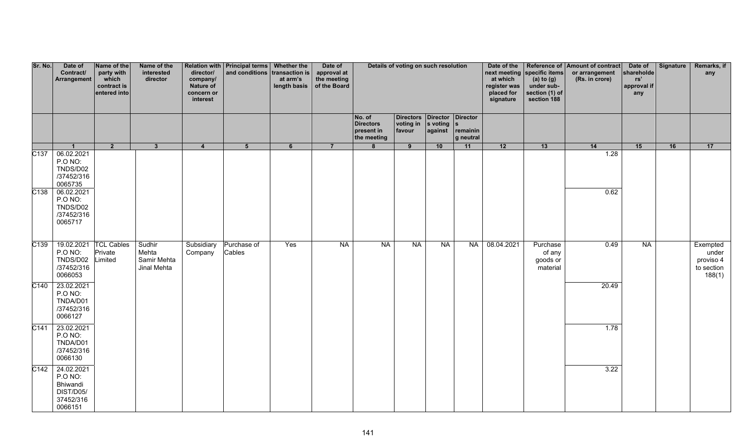| Sr. No.           | Date of<br>Contract/<br>Arrangement                                       | Name of the<br>party with<br>which<br>contract is<br>entered into | Name of the<br>interested<br>director         | director/<br>company/<br>Nature of<br>concern or<br>interest | Relation with   Principal terms   Whether the<br>and conditions transaction is | at arm's<br>length basis   of the Board | Date of<br>approval at<br>the meeting |                                                         | Details of voting on such resolution                                  |         |                       | Date of the<br>at which<br>register was<br>placed for<br>signature | next meeting specific items<br>(a) to $(g)$<br>under sub-<br>section (1) of<br>section 188 | Reference of Amount of contract<br>or arrangement<br>(Rs. in crore) | Date of<br>shareholde<br>rs'<br>approval if<br>any | <b>Signature</b> | Remarks, if<br>any                                     |
|-------------------|---------------------------------------------------------------------------|-------------------------------------------------------------------|-----------------------------------------------|--------------------------------------------------------------|--------------------------------------------------------------------------------|-----------------------------------------|---------------------------------------|---------------------------------------------------------|-----------------------------------------------------------------------|---------|-----------------------|--------------------------------------------------------------------|--------------------------------------------------------------------------------------------|---------------------------------------------------------------------|----------------------------------------------------|------------------|--------------------------------------------------------|
|                   |                                                                           |                                                                   |                                               |                                                              |                                                                                |                                         |                                       | No. of<br><b>Directors</b><br>present in<br>the meeting | Directors Director Director<br>voting in $ s $ voting $ s $<br>favour | against | remainin<br>g neutral |                                                                    |                                                                                            |                                                                     |                                                    |                  |                                                        |
| $\overline{C137}$ | $\mathbf 1$<br>06.02.2021<br>P.O NO:<br>TNDS/D02<br>/37452/316<br>0065735 | $\overline{2}$                                                    | $\mathbf{3}$                                  | $\overline{4}$                                               | 5 <sup>5</sup>                                                                 | 6                                       | $\overline{7}$                        | 8                                                       | 9                                                                     | 10      | 11                    | $\overline{12}$                                                    | 13                                                                                         | 14<br>1.28                                                          | 15                                                 | 16               | 17                                                     |
| C138              | 06.02.2021<br>P.O NO:<br>TNDS/D02<br>/37452/316<br>0065717                |                                                                   |                                               |                                                              |                                                                                |                                         |                                       |                                                         |                                                                       |         |                       |                                                                    |                                                                                            | 0.62                                                                |                                                    |                  |                                                        |
| C139              | 19.02.2021<br>P.O NO:<br>TNDS/D02<br>/37452/316<br>0066053                | <b>TCL Cables</b><br>Private<br>Limited                           | Sudhir<br>Mehta<br>Samir Mehta<br>Jinal Mehta | Subsidiary<br>Company                                        | Purchase of<br>Cables                                                          | Yes                                     | NA                                    | NA                                                      | NA                                                                    | NA      | NA                    | 08.04.2021                                                         | Purchase<br>of any<br>goods or<br>material                                                 | 0.49                                                                | <b>NA</b>                                          |                  | Exempted<br>under<br>proviso 4<br>to section<br>188(1) |
| C <sub>140</sub>  | 23.02.2021<br>P.O NO:<br>TNDA/D01<br>/37452/316<br>0066127                |                                                                   |                                               |                                                              |                                                                                |                                         |                                       |                                                         |                                                                       |         |                       |                                                                    |                                                                                            | 20.49                                                               |                                                    |                  |                                                        |
| C <sub>141</sub>  | 23.02.2021<br><b>P.O NO:</b><br>TNDA/D01<br>/37452/316<br>0066130         |                                                                   |                                               |                                                              |                                                                                |                                         |                                       |                                                         |                                                                       |         |                       |                                                                    |                                                                                            | 1.78                                                                |                                                    |                  |                                                        |
| C <sub>142</sub>  | 24.02.2021<br>P.O NO:<br>Bhiwandi<br>DIST/D05/<br>37452/316<br>0066151    |                                                                   |                                               |                                                              |                                                                                |                                         |                                       |                                                         |                                                                       |         |                       |                                                                    |                                                                                            | 3.22                                                                |                                                    |                  |                                                        |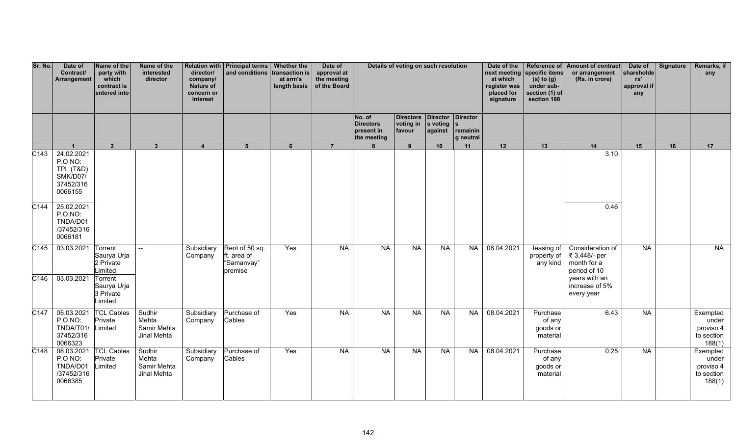| Sr. No.                  | Date of<br>Contract/<br>Arrangement                                    | Name of the<br>party with<br>which<br>contract is<br>entered into | Name of the<br>interested<br>director         | director/<br>company/<br>Nature of<br>concern or<br>interest | Relation with   Principal terms   Whether the<br>and conditions transaction is | at arm's<br>length basis | Date of<br>approval at<br>the meeting<br>of the Board |                                                         | Details of voting on such resolution    |                                            |                       | Date of the<br>at which<br>register was<br>placed for<br>signature | next meeting specific items<br>(a) to $(g)$<br>under sub-<br>section (1) of<br>section 188 | Reference of Amount of contract<br>or arrangement<br>(Rs. in crore) | Date of<br>shareholde<br>rs'<br>approval if<br>any | Signature | Remarks, if<br>any                                     |
|--------------------------|------------------------------------------------------------------------|-------------------------------------------------------------------|-----------------------------------------------|--------------------------------------------------------------|--------------------------------------------------------------------------------|--------------------------|-------------------------------------------------------|---------------------------------------------------------|-----------------------------------------|--------------------------------------------|-----------------------|--------------------------------------------------------------------|--------------------------------------------------------------------------------------------|---------------------------------------------------------------------|----------------------------------------------------|-----------|--------------------------------------------------------|
|                          |                                                                        |                                                                   |                                               |                                                              |                                                                                |                          |                                                       | No. of<br><b>Directors</b><br>present in<br>the meeting | <b>Directors</b><br>voting in<br>favour | Director Director<br>s voting s<br>against | remainin<br>g neutral |                                                                    |                                                                                            |                                                                     |                                                    |           |                                                        |
|                          | $\overline{1}$                                                         | $\overline{2}$                                                    | $\mathbf{3}$                                  | $\overline{4}$                                               | $5\overline{5}$                                                                | 6                        | $\overline{7}$                                        | 8                                                       | 9                                       | 10                                         | 11                    | 12                                                                 | 13                                                                                         | 14                                                                  | 15                                                 | 16        | 17                                                     |
| $\overline{C143}$        | 24.02.2021<br>P.O NO:<br>TPL (T&D)<br>SMK/D07/<br>37452/316<br>0066155 |                                                                   |                                               |                                                              |                                                                                |                          |                                                       |                                                         |                                         |                                            |                       |                                                                    |                                                                                            | 3.10                                                                |                                                    |           |                                                        |
| C <sub>144</sub>         | 25.02.2021<br>P.O NO:<br>TNDA/D01<br>/37452/316<br>0066181             |                                                                   |                                               |                                                              |                                                                                |                          |                                                       |                                                         |                                         |                                            |                       |                                                                    |                                                                                            | 0.46                                                                |                                                    |           |                                                        |
| C <sub>145</sub>         | 03.03.2021                                                             | Torrent<br>Saurya Urja<br>2 Private<br>Limited                    | $\overline{\phantom{a}}$                      | Subsidiary<br>Company                                        | Rent of 50 sq.<br>ft. area of<br>"Samanvay"<br>premise                         | Yes                      | <b>NA</b>                                             | <b>NA</b>                                               | <b>NA</b>                               | <b>NA</b>                                  | NA                    | 08.04.2021                                                         | leasing of<br>property of<br>any kind                                                      | Consideration of<br>₹ 3,448/- per<br>month for a<br>period of 10    | <b>NA</b>                                          |           | NA                                                     |
| $\overline{\text{C}146}$ | 03.03.2021                                                             | Torrent<br>Saurya Urja<br>3 Private<br>Limited                    |                                               |                                                              |                                                                                |                          |                                                       |                                                         |                                         |                                            |                       |                                                                    |                                                                                            | years with an<br>increase of 5%<br>every year                       |                                                    |           |                                                        |
| C <sub>147</sub>         | 05.03.2021<br>P.O NO:<br>TNDA/T01/<br>37452/316<br>0066323             | <b>TCL Cables</b><br>Private<br>Limited                           | Sudhir<br>Mehta<br>Samir Mehta<br>Jinal Mehta | Subsidiary<br>Company                                        | Purchase of<br>Cables                                                          | Yes                      | <b>NA</b>                                             | <b>NA</b>                                               | <b>NA</b>                               | $N_A$                                      | <b>NA</b>             | 08.04.2021                                                         | Purchase<br>of any<br>goods or<br>material                                                 | 6.43                                                                | <b>NA</b>                                          |           | Exempted<br>under<br>proviso 4<br>to section<br>188(1) |
| $\overline{C148}$        | 08.03.2021<br>P.O NO:<br>TNDA/D01<br>/37452/316<br>0066385             | <b>TCL Cables</b><br>Private<br>Limited                           | Sudhir<br>Mehta<br>Samir Mehta<br>Jinal Mehta | Subsidiary<br>Company                                        | Purchase of<br>Cables                                                          | Yes                      | <b>NA</b>                                             | <b>NA</b>                                               | <b>NA</b>                               | <b>NA</b>                                  | <b>NA</b>             | 08.04.2021                                                         | Purchase<br>of any<br>goods or<br>material                                                 | 0.25                                                                | <b>NA</b>                                          |           | Exempted<br>under<br>proviso 4<br>to section<br>188(1) |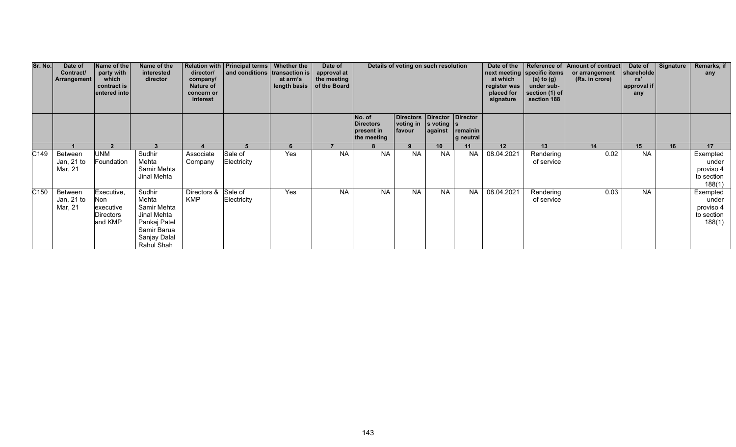| Sr. No.          | Date of<br>Contract/<br><b>Arrangement</b> | Name of the<br>party with<br>which<br>contract is<br>entered into    | Name of the<br>interested<br>director                                                                      | director/<br>company/<br>Nature of<br>concern or<br>interest | Relation with   Principal terms   Whether the<br>and conditions transaction is | at arm's<br>length basis | Date of<br>approval at<br>the meeting<br>of the Board |                                                         | Details of voting on such resolution                                  |                 |                       | Date of the<br>at which<br>register was<br>placed for<br>signature | next meeting specific items<br>(a) to $(g)$<br>under sub-<br>section (1) of<br>section 188 | Reference of Amount of contract<br>or arrangement<br>(Rs. in crore) | Date of<br>shareholde<br>rs'<br>approval if<br>any | Signature | Remarks, if<br>any                                     |
|------------------|--------------------------------------------|----------------------------------------------------------------------|------------------------------------------------------------------------------------------------------------|--------------------------------------------------------------|--------------------------------------------------------------------------------|--------------------------|-------------------------------------------------------|---------------------------------------------------------|-----------------------------------------------------------------------|-----------------|-----------------------|--------------------------------------------------------------------|--------------------------------------------------------------------------------------------|---------------------------------------------------------------------|----------------------------------------------------|-----------|--------------------------------------------------------|
|                  |                                            |                                                                      |                                                                                                            |                                                              |                                                                                |                          |                                                       | No. of<br><b>Directors</b><br>present in<br>the meeting | Directors Director Director<br>voting in $ $ s voting $ s $<br>favour | against         | remainin<br>g neutral |                                                                    |                                                                                            |                                                                     |                                                    |           |                                                        |
|                  |                                            | 2 <sup>2</sup>                                                       |                                                                                                            |                                                              |                                                                                | 6                        |                                                       | 8                                                       | 9                                                                     | 10              | 11                    | 12                                                                 | 13                                                                                         | 14                                                                  | 15                                                 | 16        | 17                                                     |
| C <sub>149</sub> | Between<br>Jan, $21$ to<br>Mar, 21         | UNM<br>Foundation                                                    | Sudhir<br>Mehta<br>Samir Mehta<br>Jinal Mehta                                                              | Associate<br>Company                                         | Sale of<br>Electricity                                                         | Yes                      | <b>NA</b>                                             | <b>NA</b>                                               | <b>NA</b>                                                             | <b>NA</b>       | <b>NA</b>             | 08.04.2021                                                         | Rendering<br>of service                                                                    | 0.02                                                                | <b>NA</b>                                          |           | Exempted<br>under<br>proviso 4<br>to section<br>188(1) |
| C <sub>150</sub> | Between<br>Jan, 21 to<br>Mar, 21           | Executive,<br><b>Non</b><br>executive<br><b>Directors</b><br>and KMP | Sudhir<br>Mehta<br>Samir Mehta<br>Jinal Mehta<br>Pankaj Patel<br>Samir Barua<br>Sanjay Dalal<br>Rahul Shah | Directors &<br><b>KMP</b>                                    | Sale of<br>Electricity                                                         | Yes                      | <b>NA</b>                                             | <b>NA</b>                                               | $N\overline{A}$                                                       | $N\overline{A}$ | <b>NA</b>             | 08.04.2021                                                         | Rendering<br>of service                                                                    | 0.03                                                                | <b>NA</b>                                          |           | Exempted<br>under<br>proviso 4<br>to section<br>188(1) |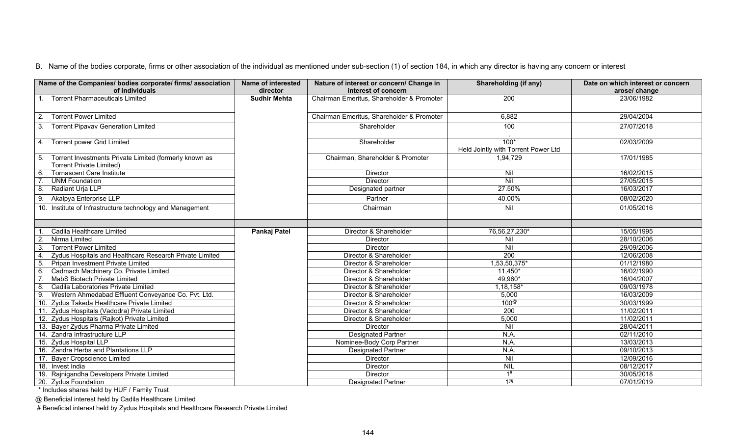| Name of the Companies/ bodies corporate/ firms/ association<br>of individuals                | <b>Name of interested</b><br>director | Nature of interest or concern/ Change in<br>interest of concern | <b>Shareholding (if any)</b>                  | Date on which interest or concern<br>arose/ change |
|----------------------------------------------------------------------------------------------|---------------------------------------|-----------------------------------------------------------------|-----------------------------------------------|----------------------------------------------------|
| 1. Torrent Pharmaceuticals Limited                                                           | <b>Sudhir Mehta</b>                   | Chairman Emeritus, Shareholder & Promoter                       | 200                                           | 23/06/1982                                         |
| <b>Torrent Power Limited</b><br>2.                                                           |                                       | Chairman Emeritus, Shareholder & Promoter                       | 6,882                                         | 29/04/2004                                         |
| 3. Torrent Pipavav Generation Limited                                                        |                                       | Shareholder                                                     | 100                                           | 27/07/2018                                         |
| 4. Torrent power Grid Limited                                                                |                                       | Shareholder                                                     | $100*$<br>Held Jointly with Torrent Power Ltd | 02/03/2009                                         |
| 5. Torrent Investments Private Limited (formerly known as<br><b>Torrent Private Limited)</b> |                                       | Chairman, Shareholder & Promoter                                | 1,94,729                                      | 17/01/1985                                         |
| <b>Tornascent Care Institute</b>                                                             |                                       | Director                                                        | Nil                                           | 16/02/2015                                         |
| <b>UNM Foundation</b>                                                                        |                                       | <b>Director</b>                                                 | Nil                                           | 27/05/2015                                         |
| Radiant Urja LLP<br>8.                                                                       |                                       | Designated partner                                              | 27.50%                                        | 16/03/2017                                         |
| Akalpya Enterprise LLP<br>9.                                                                 |                                       | Partner                                                         | 40.00%                                        | 08/02/2020                                         |
| 10. Institute of Infrastructure technology and Management                                    |                                       | Chairman                                                        | Nil                                           | 01/05/2016                                         |
|                                                                                              |                                       |                                                                 |                                               |                                                    |
| Cadila Healthcare Limited                                                                    | Pankaj Patel                          | Director & Shareholder                                          | 76,56,27,230*                                 | 15/05/1995                                         |
| Nirma Limited                                                                                |                                       | Director                                                        | Nil                                           | 28/10/2006                                         |
| <b>Torrent Power Limited</b>                                                                 |                                       | <b>Director</b>                                                 | Nil                                           | 29/09/2006                                         |
| Zydus Hospitals and Healthcare Research Private Limited                                      |                                       | Director & Shareholder                                          | 200                                           | 12/06/2008                                         |
| Pripan Investment Private Limited                                                            |                                       | Director & Shareholder                                          | 1,53,50,375*                                  | 01/12/1980                                         |
| Cadmach Machinery Co. Private Limited<br>6.                                                  |                                       | Director & Shareholder                                          | $11,450*$                                     | 16/02/1990                                         |
| MabS Biotech Private Limited                                                                 |                                       | Director & Shareholder                                          | 49,960*                                       | 16/04/2007                                         |
| Cadila Laboratories Private Limited<br>8                                                     |                                       | Director & Shareholder                                          | $1,18,158*$                                   | 09/03/1978                                         |
| Western Ahmedabad Effluent Conveyance Co. Pvt. Ltd.<br>9.                                    |                                       | Director & Shareholder                                          | 5,000                                         | 16/03/2009                                         |
| 10. Zydus Takeda Healthcare Private Limited                                                  |                                       | Director & Shareholder                                          | 100 <sup>@</sup>                              | 30/03/1999                                         |
| 11. Zydus Hospitals (Vadodra) Private Limited                                                |                                       | Director & Shareholder                                          | $\overline{200}$                              | 11/02/2011                                         |
| 12. Zydus Hospitals (Rajkot) Private Limited                                                 |                                       | Director & Shareholder                                          | 5,000                                         | 11/02/2011                                         |
| 13. Bayer Zydus Pharma Private Limited                                                       |                                       | Director                                                        | Nil                                           | 28/04/2011                                         |
| 14. Zandra Infrastructure LLP                                                                |                                       | <b>Designated Partner</b>                                       | N.A.                                          | 02/11/2010                                         |
| 15. Zydus Hospital LLP                                                                       |                                       | Nominee-Body Corp Partner                                       | N.A.                                          | 13/03/2013                                         |
| 16. Zandra Herbs and Plantations LLP                                                         |                                       | <b>Designated Partner</b>                                       | N.A.                                          | 09/10/2013                                         |
| 17. Bayer Cropscience Limited                                                                |                                       | <b>Director</b>                                                 | Nil                                           | 12/09/2016                                         |
| 18. Invest India                                                                             |                                       | Director                                                        | <b>NIL</b>                                    | 08/12/2017                                         |
| 19. Rajnigandha Developers Private Limited                                                   |                                       | <b>Director</b>                                                 | 1#                                            | 30/05/2018                                         |
| 20. Zydus Foundation                                                                         |                                       | <b>Designated Partner</b>                                       | 1@                                            | 07/01/2019                                         |

\* Includes shares held by HUF / Family Trust

@ Beneficial interest held by Cadila Healthcare Limited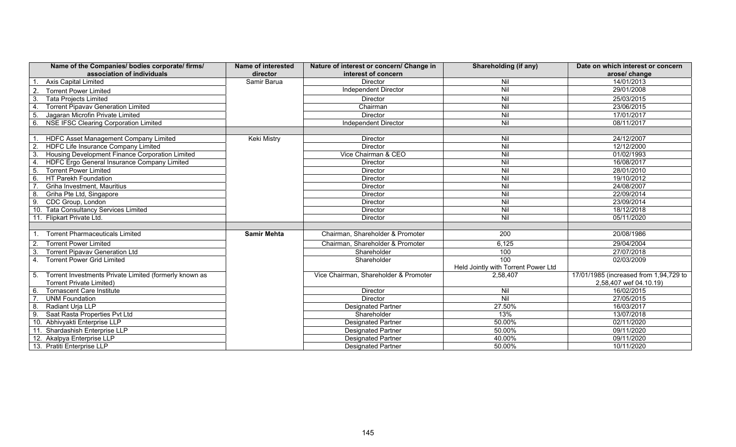| Name of the Companies/ bodies corporate/ firms/<br>association of individuals | <b>Name of interested</b><br>director | Nature of interest or concern/ Change in<br>interest of concern | Shareholding (if any)               | Date on which interest or concern<br>arose/ change |
|-------------------------------------------------------------------------------|---------------------------------------|-----------------------------------------------------------------|-------------------------------------|----------------------------------------------------|
| <b>Axis Capital Limited</b>                                                   | Samir Barua                           | <b>Director</b>                                                 | Nil                                 | 14/01/2013                                         |
| 2<br><b>Torrent Power Limited</b>                                             |                                       | Independent Director                                            | Nil                                 | 29/01/2008                                         |
| $\overline{3}$<br><b>Tata Projects Limited</b>                                |                                       | Director                                                        | $\overline{N}$                      | 25/03/2015                                         |
| <b>Torrent Pipavav Generation Limited</b><br>$\overline{4}$                   |                                       | Chairman                                                        | Nil                                 | 23/06/2015                                         |
| 5 <sub>o</sub><br>Jagaran Microfin Private Limited                            |                                       | Director                                                        | Nil                                 | 17/01/2017                                         |
| <b>NSE IFSC Clearing Corporation Limited</b><br>6                             |                                       | Independent Director                                            | Nil                                 | 08/11/2017                                         |
|                                                                               |                                       |                                                                 |                                     |                                                    |
| HDFC Asset Management Company Limited                                         | <b>Keki Mistry</b>                    | <b>Director</b>                                                 | Nil                                 | 24/12/2007                                         |
| $\overline{2}$ .<br>HDFC Life Insurance Company Limited                       |                                       | Director                                                        | Nil                                 | 12/12/2000                                         |
| 3.<br>Housing Development Finance Corporation Limited                         |                                       | Vice Chairman & CEO                                             | $\overline{N}$                      | 01/02/1993                                         |
| $\overline{4}$<br>HDFC Ergo General Insurance Company Limited                 |                                       | <b>Director</b>                                                 | $\overline{N}$                      | 16/08/2017                                         |
| <b>Torrent Power Limited</b><br>5.                                            |                                       | Director                                                        | $\overline{N}$                      | 28/01/2010                                         |
| HT Parekh Foundation<br>6.                                                    |                                       | Director                                                        | $\overline{N}$                      | 19/10/2012                                         |
| Griha Investment, Mauritius                                                   |                                       | Director                                                        | Nil                                 | 24/08/2007                                         |
| 8<br>Griha Pte Ltd, Singapore                                                 |                                       | Director                                                        | Nil                                 | 22/09/2014                                         |
| 9.<br>CDC Group, London                                                       |                                       | <b>Director</b>                                                 | $\overline{N}$                      | 23/09/2014                                         |
| 10. Tata Consultancy Services Limited                                         |                                       | Director                                                        | Nil                                 | 18/12/2018                                         |
| 11. Flipkart Private Ltd.                                                     |                                       | <b>Director</b>                                                 | Nil                                 | 05/11/2020                                         |
|                                                                               |                                       |                                                                 |                                     |                                                    |
| <b>Torrent Pharmaceuticals Limited</b>                                        | <b>Samir Mehta</b>                    | Chairman, Shareholder & Promoter                                | 200                                 | 20/08/1986                                         |
| <b>Torrent Power Limited</b><br>2                                             |                                       | Chairman, Shareholder & Promoter                                | 6,125                               | 29/04/2004                                         |
| <b>Torrent Pipavav Generation Ltd</b><br>-3.                                  |                                       | Shareholder                                                     | 100                                 | 27/07/2018                                         |
| <b>Torrent Power Grid Limited</b><br>$\mathbf{4}$ .                           |                                       | Shareholder                                                     | 100                                 | 02/03/2009                                         |
|                                                                               |                                       |                                                                 | Held Jointly with Torrent Power Ltd |                                                    |
| Torrent Investments Private Limited (formerly known as<br>5.                  |                                       | Vice Chairman, Shareholder & Promoter                           | 2,58,407                            | 17/01/1985 (increased from 1,94,729 to             |
| <b>Torrent Private Limited)</b>                                               |                                       |                                                                 |                                     | 2,58,407 wef 04.10.19)                             |
| <b>Tornascent Care Institute</b><br>6.                                        |                                       | Director                                                        | Nil                                 | 16/02/2015                                         |
| <b>UNM Foundation</b>                                                         |                                       | <b>Director</b>                                                 | Nil                                 | 27/05/2015                                         |
| Radiant Urja LLP<br>8.                                                        |                                       | <b>Designated Partner</b>                                       | 27.50%                              | 16/03/2017                                         |
| 9.<br>Saat Rasta Properties Pvt Ltd                                           |                                       | Shareholder                                                     | 13%                                 | 13/07/2018                                         |
| Abhivyakti Enterprise LLP                                                     |                                       | <b>Designated Partner</b>                                       | 50.00%                              | 02/11/2020                                         |
| Shardashish Enterprise LLP<br>11                                              |                                       | <b>Designated Partner</b>                                       | 50.00%                              | 09/11/2020                                         |
| 12. Akalpya Enterprise LLP                                                    |                                       | <b>Designated Partner</b>                                       | 40.00%                              | 09/11/2020                                         |
| 13. Pratiti Enterprise LLP                                                    |                                       | <b>Designated Partner</b>                                       | 50.00%                              | 10/11/2020                                         |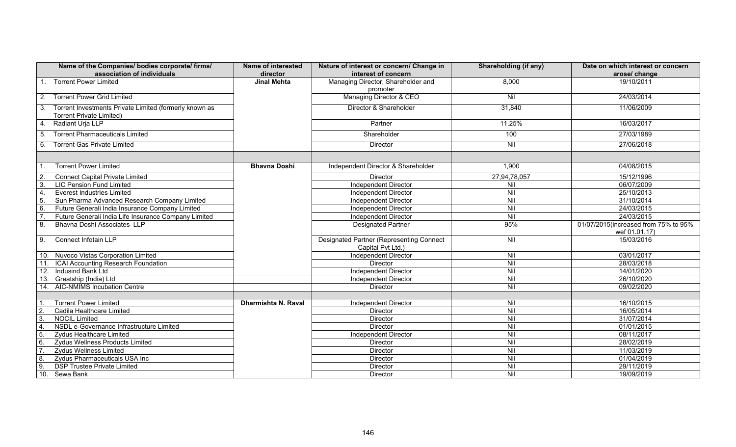| Name of the Companies/ bodies corporate/ firms/<br>association of individuals                   | Name of interested<br>director | Nature of interest or concern/ Change in<br>interest of concern      | Shareholding (if any) | Date on which interest or concern<br>arose/ change |
|-------------------------------------------------------------------------------------------------|--------------------------------|----------------------------------------------------------------------|-----------------------|----------------------------------------------------|
| 1. Torrent Power Limited                                                                        | <b>Jinal Mehta</b>             | Managing Director, Shareholder and<br>promoter                       | 8,000                 | 19/10/2011                                         |
| <b>Torrent Power Grid Limited</b><br>2.                                                         |                                | Managing Director & CEO                                              | Nil                   | 24/03/2014                                         |
| Torrent Investments Private Limited (formerly known as<br>3.<br><b>Torrent Private Limited)</b> |                                | Director & Shareholder                                               | 31,840                | 11/06/2009                                         |
| Radiant Urja LLP<br>4.                                                                          |                                | Partner                                                              | 11.25%                | 16/03/2017                                         |
| <b>Torrent Pharmaceuticals Limited</b><br>5.                                                    |                                | Shareholder                                                          | 100                   | 27/03/1989                                         |
| <b>Torrent Gas Private Limited</b><br>6.                                                        |                                | <b>Director</b>                                                      | $\overline{N}$        | 27/06/2018                                         |
|                                                                                                 |                                |                                                                      |                       |                                                    |
| <b>Torrent Power Limited</b>                                                                    | <b>Bhavna Doshi</b>            | Independent Director & Shareholder                                   | 1,900                 | 04/08/2015                                         |
| <b>Connect Capital Private Limited</b><br>$\overline{2}$                                        |                                | <b>Director</b>                                                      | 27,94,78,057          | 15/12/1996                                         |
| 3<br><b>LIC Pension Fund Limited</b>                                                            |                                | <b>Independent Director</b>                                          | Nil                   | 06/07/2009                                         |
| <b>Everest Industries Limited</b><br>$\overline{4}$ .                                           |                                | <b>Independent Director</b>                                          | Nil                   | 25/10/2013                                         |
| Sun Pharma Advanced Research Company Limited<br>5                                               |                                | <b>Independent Director</b>                                          | Nil                   | 31/10/2014                                         |
| 6<br>Future Generali India Insurance Company Limited                                            |                                | <b>Independent Director</b>                                          | Nil                   | 24/03/2015                                         |
| Future Generali India Life Insurance Company Limited                                            |                                | <b>Independent Director</b>                                          | Nil                   | 24/03/2015                                         |
| 8.<br>Bhavna Doshi Associates LLP                                                               |                                | <b>Designated Partner</b>                                            | 95%                   | 01/07/2015(increased from 75% to 95%               |
|                                                                                                 |                                |                                                                      |                       | wef 01.01.17)                                      |
| Connect Infotain LLP<br>9.                                                                      |                                | <b>Designated Partner (Representing Connect</b><br>Capital Pvt Ltd.) | Nil                   | 15/03/2016                                         |
| 10. Nuvoco Vistas Corporation Limited                                                           |                                | <b>Independent Director</b>                                          | $\overline{N}$        | 03/01/2017                                         |
| 11.<br>ICAI Accounting Research Foundation                                                      |                                | <b>Director</b>                                                      | $\overline{N}$        | 28/03/2018                                         |
| Indusind Bank Ltd<br>12.                                                                        |                                | Independent Director                                                 | $\overline{N}$        | 14/01/2020                                         |
| 13.<br>Greatship (India) Ltd                                                                    |                                | Independent Director                                                 | Nil                   | 26/10/2020                                         |
| 14. AIC-NMIMS Incubation Centre                                                                 |                                | <b>Director</b>                                                      | Nil                   | 09/02/2020                                         |
|                                                                                                 |                                |                                                                      |                       |                                                    |
| <b>Torrent Power Limited</b>                                                                    | Dharmishta N. Raval            | <b>Independent Director</b>                                          | $\overline{N}$        | 16/10/2015                                         |
| $\overline{2}$<br>Cadila Healthcare Limited                                                     |                                | <b>Director</b>                                                      | Nil                   | 16/05/2014                                         |
| $\overline{3}$<br><b>NOCIL Limited</b>                                                          |                                | <b>Director</b>                                                      | Nil                   | 31/07/2014                                         |
| $\overline{4}$<br>NSDL e-Governance Infrastructure Limited                                      |                                | <b>Director</b>                                                      | Nil                   | 01/01/2015                                         |
| 5<br><b>Zydus Healthcare Limited</b>                                                            |                                | <b>Independent Director</b>                                          | Nil                   | 08/11/2017                                         |
| Zydus Wellness Products Limited<br>6.                                                           |                                | <b>Director</b>                                                      | $\overline{N}$        | 28/02/2019                                         |
| <b>Zydus Wellness Limited</b>                                                                   |                                | Director                                                             | Nil                   | 11/03/2019                                         |
| Zydus Pharmaceuticals USA Inc<br>8.                                                             |                                | Director                                                             | Nil                   | 01/04/2019                                         |
| 9<br><b>DSP Trustee Private Limited</b>                                                         |                                | Director                                                             | Nil                   | 29/11/2019                                         |
| 10.<br>Sewa Bank                                                                                |                                | Director                                                             | $\overline{N}$        | 19/09/2019                                         |